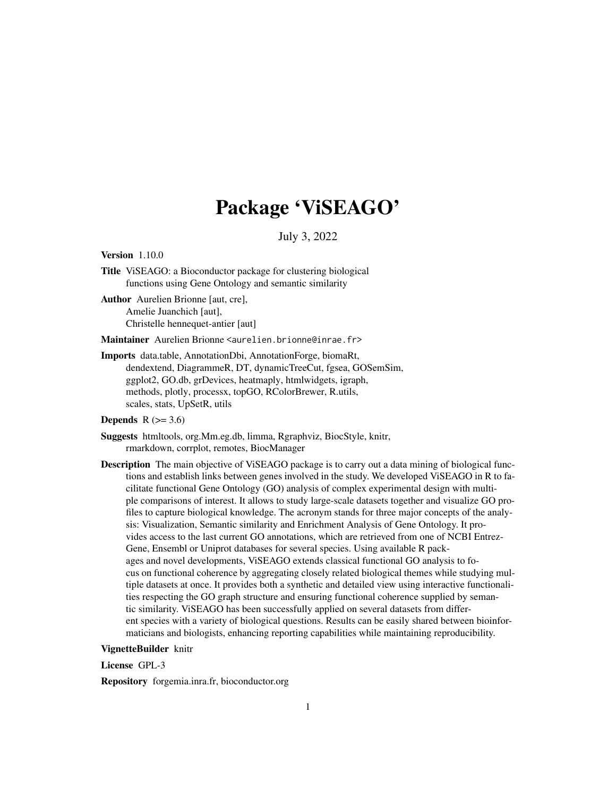# Package 'ViSEAGO'

July 3, 2022

<span id="page-0-0"></span>Version 1.10.0

Title ViSEAGO: a Bioconductor package for clustering biological functions using Gene Ontology and semantic similarity

Author Aurelien Brionne [aut, cre], Amelie Juanchich [aut], Christelle hennequet-antier [aut]

Maintainer Aurelien Brionne <aurelien.brionne@inrae.fr>

Imports data.table, AnnotationDbi, AnnotationForge, biomaRt, dendextend, DiagrammeR, DT, dynamicTreeCut, fgsea, GOSemSim, ggplot2, GO.db, grDevices, heatmaply, htmlwidgets, igraph, methods, plotly, processx, topGO, RColorBrewer, R.utils, scales, stats, UpSetR, utils

# Depends  $R$  ( $>= 3.6$ )

Suggests htmltools, org.Mm.eg.db, limma, Rgraphviz, BiocStyle, knitr, rmarkdown, corrplot, remotes, BiocManager

Description The main objective of ViSEAGO package is to carry out a data mining of biological functions and establish links between genes involved in the study. We developed ViSEAGO in R to facilitate functional Gene Ontology (GO) analysis of complex experimental design with multiple comparisons of interest. It allows to study large-scale datasets together and visualize GO profiles to capture biological knowledge. The acronym stands for three major concepts of the analysis: Visualization, Semantic similarity and Enrichment Analysis of Gene Ontology. It provides access to the last current GO annotations, which are retrieved from one of NCBI Entrez-Gene, Ensembl or Uniprot databases for several species. Using available R packages and novel developments, ViSEAGO extends classical functional GO analysis to focus on functional coherence by aggregating closely related biological themes while studying multiple datasets at once. It provides both a synthetic and detailed view using interactive functionalities respecting the GO graph structure and ensuring functional coherence supplied by semantic similarity. ViSEAGO has been successfully applied on several datasets from different species with a variety of biological questions. Results can be easily shared between bioinformaticians and biologists, enhancing reporting capabilities while maintaining reproducibility.

#### VignetteBuilder knitr

License GPL-3

Repository forgemia.inra.fr, bioconductor.org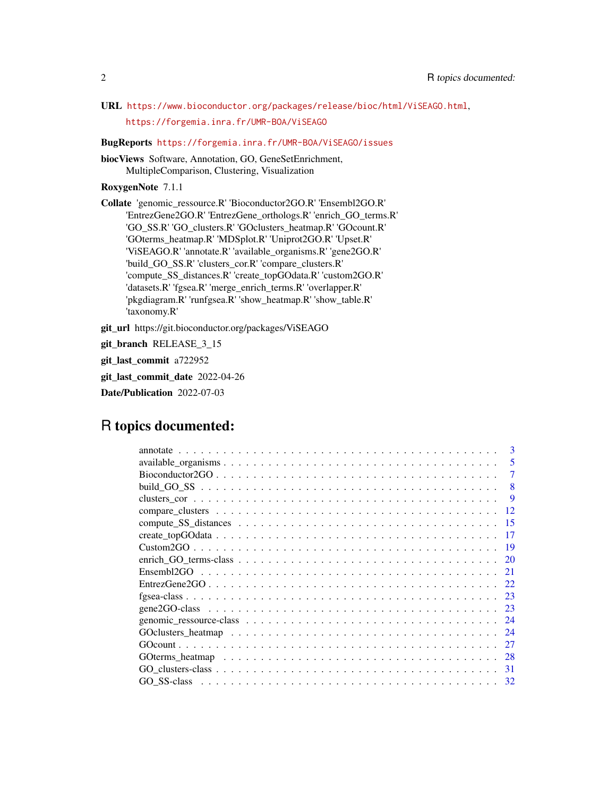URL <https://www.bioconductor.org/packages/release/bioc/html/ViSEAGO.html>, <https://forgemia.inra.fr/UMR-BOA/ViSEAGO>

BugReports <https://forgemia.inra.fr/UMR-BOA/ViSEAGO/issues>

biocViews Software, Annotation, GO, GeneSetEnrichment, MultipleComparison, Clustering, Visualization

RoxygenNote 7.1.1

Collate 'genomic\_ressource.R' 'Bioconductor2GO.R' 'Ensembl2GO.R' 'EntrezGene2GO.R' 'EntrezGene\_orthologs.R' 'enrich\_GO\_terms.R' 'GO\_SS.R' 'GO\_clusters.R' 'GOclusters\_heatmap.R' 'GOcount.R' 'GOterms\_heatmap.R' 'MDSplot.R' 'Uniprot2GO.R' 'Upset.R' 'ViSEAGO.R' 'annotate.R' 'available\_organisms.R' 'gene2GO.R' 'build\_GO\_SS.R' 'clusters\_cor.R' 'compare\_clusters.R' 'compute\_SS\_distances.R' 'create\_topGOdata.R' 'custom2GO.R' 'datasets.R' 'fgsea.R' 'merge\_enrich\_terms.R' 'overlapper.R' 'pkgdiagram.R' 'runfgsea.R' 'show\_heatmap.R' 'show\_table.R' 'taxonomy.R'

git\_url https://git.bioconductor.org/packages/ViSEAGO

git\_branch RELEASE\_3\_15

git\_last\_commit a722952

git\_last\_commit\_date 2022-04-26

Date/Publication 2022-07-03

# R topics documented:

| 3                                                                                                                            |
|------------------------------------------------------------------------------------------------------------------------------|
| 5                                                                                                                            |
|                                                                                                                              |
| 8                                                                                                                            |
| 9                                                                                                                            |
| 12                                                                                                                           |
| 15                                                                                                                           |
| 17                                                                                                                           |
| -19                                                                                                                          |
| 20                                                                                                                           |
| 21                                                                                                                           |
| 22                                                                                                                           |
| 23                                                                                                                           |
| 23                                                                                                                           |
| 24                                                                                                                           |
| 24                                                                                                                           |
| 27                                                                                                                           |
| 28                                                                                                                           |
| $GO_{\text{clusters-class}} \dots \dots \dots \dots \dots \dots \dots \dots \dots \dots \dots \dots \dots \dots \dots$<br>31 |
| 32                                                                                                                           |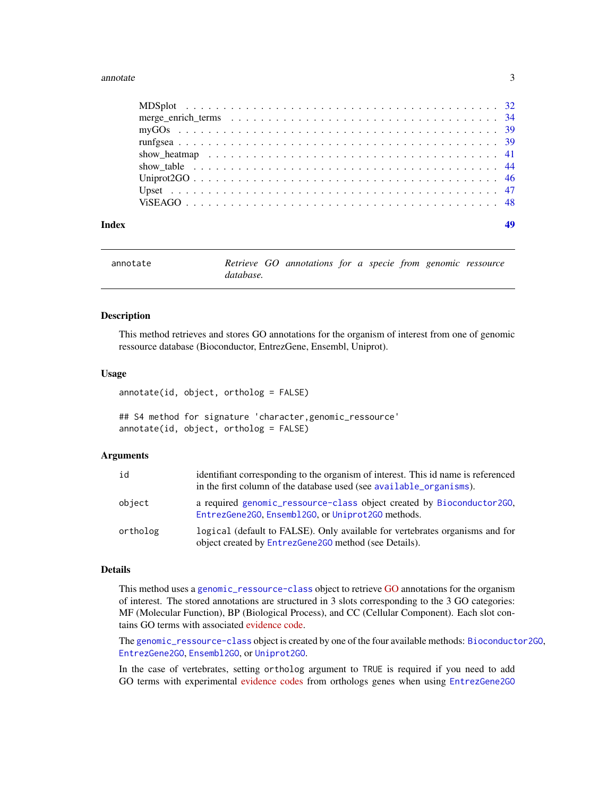#### <span id="page-2-0"></span>annotate 3

| Index |  |
|-------|--|

<span id="page-2-1"></span>

| annotate |           | Retrieve GO annotations for a specie from genomic ressource |  |  |  |
|----------|-----------|-------------------------------------------------------------|--|--|--|
|          | database. |                                                             |  |  |  |

# Description

This method retrieves and stores GO annotations for the organism of interest from one of genomic ressource database (Bioconductor, EntrezGene, Ensembl, Uniprot).

#### Usage

annotate(id, object, ortholog = FALSE)

## S4 method for signature 'character,genomic\_ressource' annotate(id, object, ortholog = FALSE)

#### Arguments

| id       | identifiant corresponding to the organism of interest. This id name is referenced<br>in the first column of the database used (see available_organisms). |
|----------|----------------------------------------------------------------------------------------------------------------------------------------------------------|
| object   | a required genomic_ressource-class object created by Bioconductor2GO,<br>EntrezGene2GO, Ensembl2GO, or Uniprot2GO methods.                               |
| ortholog | logical (default to FALSE). Only available for vertebrates organisms and for<br>object created by EntrezGene2G0 method (see Details).                    |

# Details

This method uses a [genomic\\_ressource-class](#page-23-1) object to retrieve [GO](http://www.geneontology.org/page/ontology-documentation) annotations for the organism of interest. The stored annotations are structured in 3 slots corresponding to the 3 GO categories: MF (Molecular Function), BP (Biological Process), and CC (Cellular Component). Each slot contains GO terms with associated [evidence code.](http://www.geneontology.org/page/guide-go-evidence-codes)

The [genomic\\_ressource-class](#page-23-1) object is created by one of the four available methods: [Bioconductor2GO](#page-6-1), [EntrezGene2GO](#page-21-1), [Ensembl2GO](#page-20-1), or [Uniprot2GO](#page-45-1).

In the case of vertebrates, setting ortholog argument to TRUE is required if you need to add GO terms with experimental [evidence codes](http://geneontology.org/page/guide-go-evidence-codes) from orthologs genes when using [EntrezGene2GO](#page-21-1)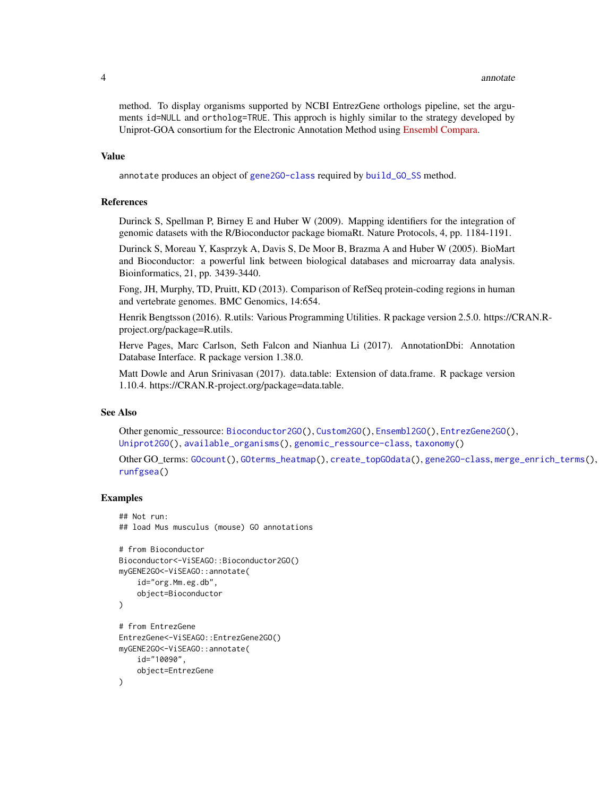<span id="page-3-0"></span>method. To display organisms supported by NCBI EntrezGene orthologs pipeline, set the arguments id=NULL and ortholog=TRUE. This approch is highly similar to the strategy developed by Uniprot-GOA consortium for the Electronic Annotation Method using [Ensembl Compara.](http://www.ebi.ac.uk/GOA/compara_go_annotations)

#### Value

annotate produces an object of [gene2GO-class](#page-22-1) required by [build\\_GO\\_SS](#page-7-1) method.

#### References

Durinck S, Spellman P, Birney E and Huber W (2009). Mapping identifiers for the integration of genomic datasets with the R/Bioconductor package biomaRt. Nature Protocols, 4, pp. 1184-1191.

Durinck S, Moreau Y, Kasprzyk A, Davis S, De Moor B, Brazma A and Huber W (2005). BioMart and Bioconductor: a powerful link between biological databases and microarray data analysis. Bioinformatics, 21, pp. 3439-3440.

Fong, JH, Murphy, TD, Pruitt, KD (2013). Comparison of RefSeq protein-coding regions in human and vertebrate genomes. BMC Genomics, 14:654.

Henrik Bengtsson (2016). R.utils: Various Programming Utilities. R package version 2.5.0. https://CRAN.Rproject.org/package=R.utils.

Herve Pages, Marc Carlson, Seth Falcon and Nianhua Li (2017). AnnotationDbi: Annotation Database Interface. R package version 1.38.0.

Matt Dowle and Arun Srinivasan (2017). data.table: Extension of data.frame. R package version 1.10.4. https://CRAN.R-project.org/package=data.table.

# See Also

Other genomic\_ressource: [Bioconductor2GO\(](#page-6-1)), [Custom2GO\(](#page-18-1)), [Ensembl2GO\(](#page-20-1)), [EntrezGene2GO\(](#page-21-1)), [Uniprot2GO\(](#page-45-1)), [available\\_organisms\(](#page-4-1)), [genomic\\_ressource-class](#page-23-1), [taxonomy\(](#page-0-0))

Other GO\_terms: [GOcount\(](#page-26-1)), [GOterms\\_heatmap\(](#page-27-1)), [create\\_topGOdata\(](#page-16-1)), [gene2GO-class](#page-22-1), [merge\\_enrich\\_terms\(](#page-33-1)), [runfgsea\(](#page-38-1))

```
## Not run:
## load Mus musculus (mouse) GO annotations
# from Bioconductor
Bioconductor<-ViSEAGO::Bioconductor2GO()
myGENE2GO<-ViSEAGO::annotate(
    id="org.Mm.eg.db",
    object=Bioconductor
)
# from EntrezGene
EntrezGene<-ViSEAGO::EntrezGene2GO()
myGENE2GO<-ViSEAGO::annotate(
    id="10090",
    object=EntrezGene
)
```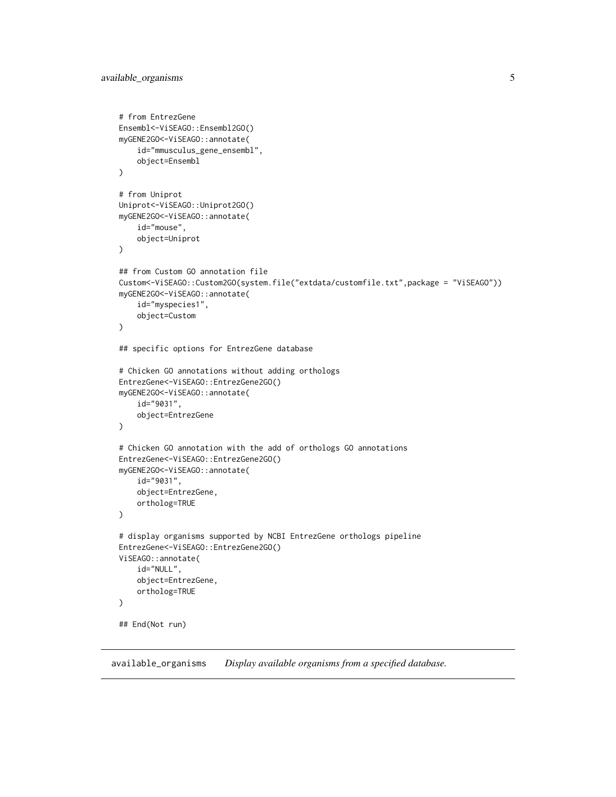```
# from EntrezGene
Ensembl<-ViSEAGO::Ensembl2GO()
myGENE2GO<-ViSEAGO::annotate(
    id="mmusculus_gene_ensembl",
    object=Ensembl
)
# from Uniprot
Uniprot<-ViSEAGO::Uniprot2GO()
myGENE2GO<-ViSEAGO::annotate(
    id="mouse",
    object=Uniprot
)
## from Custom GO annotation file
Custom<-ViSEAGO::Custom2GO(system.file("extdata/customfile.txt",package = "ViSEAGO"))
myGENE2GO<-ViSEAGO::annotate(
    id="myspecies1",
    object=Custom
)
## specific options for EntrezGene database
# Chicken GO annotations without adding orthologs
EntrezGene<-ViSEAGO::EntrezGene2GO()
myGENE2GO<-ViSEAGO::annotate(
    id="9031",
    object=EntrezGene
\mathcal{L}# Chicken GO annotation with the add of orthologs GO annotations
EntrezGene<-ViSEAGO::EntrezGene2GO()
myGENE2GO<-ViSEAGO::annotate(
    id="9031",
    object=EntrezGene,
    ortholog=TRUE
\mathcal{L}# display organisms supported by NCBI EntrezGene orthologs pipeline
EntrezGene<-ViSEAGO::EntrezGene2GO()
ViSEAGO::annotate(
    id="NULL",
    object=EntrezGene,
    ortholog=TRUE
\mathcal{L}## End(Not run)
```
<span id="page-4-1"></span>available\_organisms *Display available organisms from a specified database.*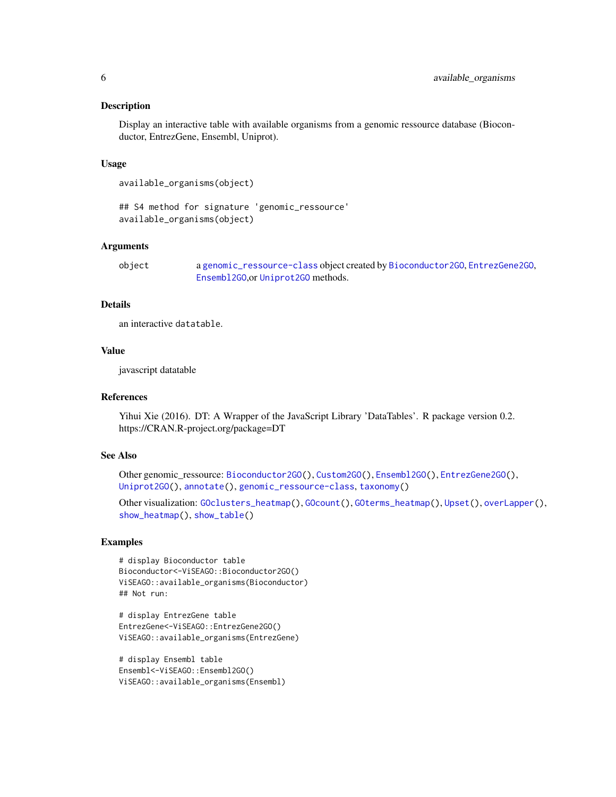#### <span id="page-5-0"></span>Description

Display an interactive table with available organisms from a genomic ressource database (Bioconductor, EntrezGene, Ensembl, Uniprot).

#### Usage

available\_organisms(object)

## S4 method for signature 'genomic\_ressource' available\_organisms(object)

#### Arguments

object a [genomic\\_ressource-class](#page-23-1) object created by [Bioconductor2GO](#page-6-1), [EntrezGene2GO](#page-21-1), [Ensembl2GO](#page-20-1),or [Uniprot2GO](#page-45-1) methods.

# Details

an interactive datatable.

#### Value

javascript datatable

# References

Yihui Xie (2016). DT: A Wrapper of the JavaScript Library 'DataTables'. R package version 0.2. https://CRAN.R-project.org/package=DT

# See Also

Other genomic\_ressource: [Bioconductor2GO\(](#page-6-1)), [Custom2GO\(](#page-18-1)), [Ensembl2GO\(](#page-20-1)), [EntrezGene2GO\(](#page-21-1)), [Uniprot2GO\(](#page-45-1)), [annotate\(](#page-2-1)), [genomic\\_ressource-class](#page-23-1), [taxonomy\(](#page-0-0))

Other visualization: [GOclusters\\_heatmap\(](#page-23-2)), [GOcount\(](#page-26-1)), [GOterms\\_heatmap\(](#page-27-1)), [Upset\(](#page-46-1)), [overLapper\(](#page-0-0)), [show\\_heatmap\(](#page-40-1)), [show\\_table\(](#page-43-1))

```
# display Bioconductor table
Bioconductor<-ViSEAGO::Bioconductor2GO()
ViSEAGO::available_organisms(Bioconductor)
## Not run:
```

```
# display EntrezGene table
EntrezGene<-ViSEAGO::EntrezGene2GO()
ViSEAGO::available_organisms(EntrezGene)
```

```
# display Ensembl table
Ensembl<-ViSEAGO::Ensembl2GO()
ViSEAGO::available_organisms(Ensembl)
```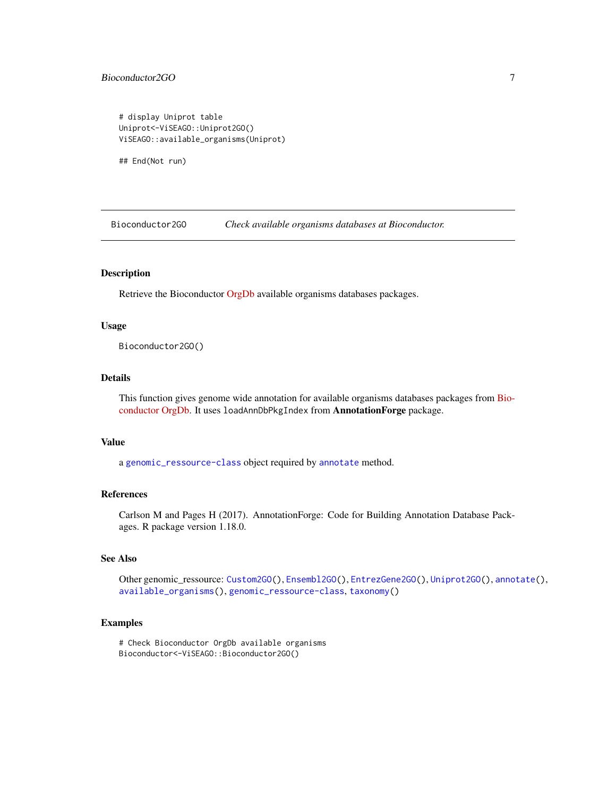# <span id="page-6-0"></span>Bioconductor2GO 7

# display Uniprot table Uniprot<-ViSEAGO::Uniprot2GO() ViSEAGO::available\_organisms(Uniprot)

## End(Not run)

<span id="page-6-1"></span>Bioconductor2GO *Check available organisms databases at Bioconductor.*

#### Description

Retrieve the Bioconductor [OrgDb](http://bioconductor.org/packages/release/BiocViews.html#___OrgDb) available organisms databases packages.

# Usage

Bioconductor2GO()

# Details

This function gives genome wide annotation for available organisms databases packages from [Bio](http://bioconductor.org/packages/release/BiocViews.html#___OrgDb)[conductor OrgDb.](http://bioconductor.org/packages/release/BiocViews.html#___OrgDb) It uses loadAnnDbPkgIndex from AnnotationForge package.

#### Value

a [genomic\\_ressource-class](#page-23-1) object required by [annotate](#page-2-1) method.

# References

Carlson M and Pages H (2017). AnnotationForge: Code for Building Annotation Database Packages. R package version 1.18.0.

# See Also

Other genomic\_ressource: [Custom2GO\(](#page-18-1)), [Ensembl2GO\(](#page-20-1)), [EntrezGene2GO\(](#page-21-1)), [Uniprot2GO\(](#page-45-1)), [annotate\(](#page-2-1)), [available\\_organisms\(](#page-4-1)), [genomic\\_ressource-class](#page-23-1), [taxonomy\(](#page-0-0))

# Examples

# Check Bioconductor OrgDb available organisms Bioconductor<-ViSEAGO::Bioconductor2GO()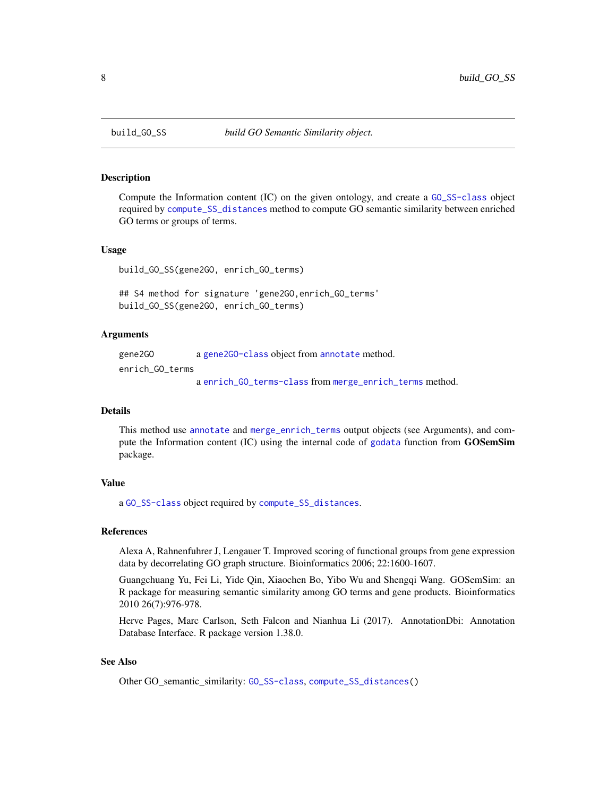<span id="page-7-1"></span><span id="page-7-0"></span>

#### Description

Compute the Information content (IC) on the given ontology, and create a [GO\\_SS-class](#page-31-1) object required by [compute\\_SS\\_distances](#page-14-1) method to compute GO semantic similarity between enriched GO terms or groups of terms.

#### Usage

```
build_GO_SS(gene2GO, enrich_GO_terms)
```
## S4 method for signature 'gene2GO,enrich\_GO\_terms' build\_GO\_SS(gene2GO, enrich\_GO\_terms)

# Arguments

gene2GO a [gene2GO-class](#page-22-1) object from [annotate](#page-2-1) method. enrich\_GO\_terms a [enrich\\_GO\\_terms-class](#page-19-1) from [merge\\_enrich\\_terms](#page-33-1) method.

#### Details

This method use [annotate](#page-2-1) and [merge\\_enrich\\_terms](#page-33-1) output objects (see Arguments), and compute the Information content (IC) using the internal code of [godata](#page-0-0) function from GOSemSim package.

#### Value

a [GO\\_SS-class](#page-31-1) object required by [compute\\_SS\\_distances](#page-14-1).

# References

Alexa A, Rahnenfuhrer J, Lengauer T. Improved scoring of functional groups from gene expression data by decorrelating GO graph structure. Bioinformatics 2006; 22:1600-1607.

Guangchuang Yu, Fei Li, Yide Qin, Xiaochen Bo, Yibo Wu and Shengqi Wang. GOSemSim: an R package for measuring semantic similarity among GO terms and gene products. Bioinformatics 2010 26(7):976-978.

Herve Pages, Marc Carlson, Seth Falcon and Nianhua Li (2017). AnnotationDbi: Annotation Database Interface. R package version 1.38.0.

# See Also

Other GO\_semantic\_similarity: [GO\\_SS-class](#page-31-1), [compute\\_SS\\_distances\(](#page-14-1))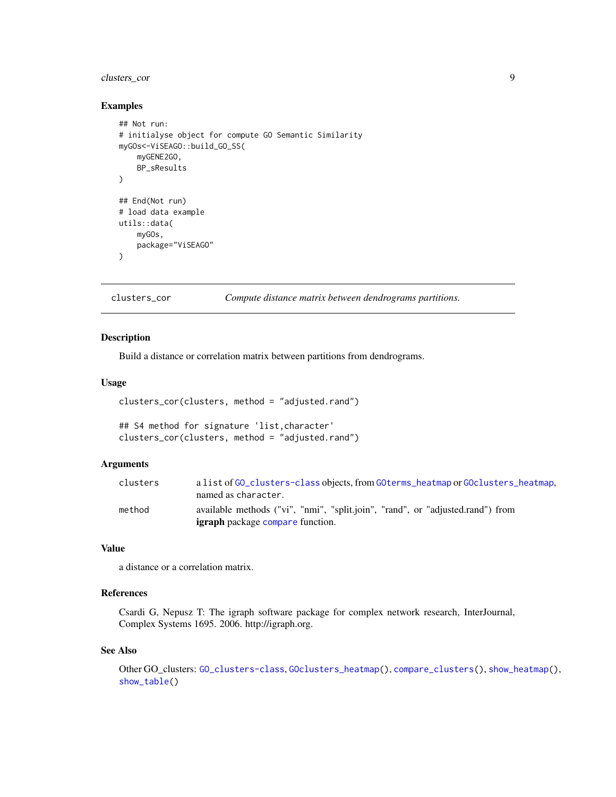# <span id="page-8-0"></span>clusters\_cor 9

#### Examples

```
## Not run:
# initialyse object for compute GO Semantic Similarity
myGOs<-ViSEAGO::build_GO_SS(
    myGENE2GO,
    BP_sResults
\mathcal{L}## End(Not run)
# load data example
utils::data(
    myGOs,
    package="ViSEAGO"
\mathcal{L}
```
<span id="page-8-1"></span>clusters\_cor *Compute distance matrix between dendrograms partitions.*

# Description

Build a distance or correlation matrix between partitions from dendrograms.

#### Usage

```
clusters_cor(clusters, method = "adjusted.rand")
```

```
## S4 method for signature 'list,character'
clusters_cor(clusters, method = "adjusted.rand")
```
# Arguments

| clusters | a list of GO clusters-class objects, from GO terms heatmap or GO clusters heatmap, |
|----------|------------------------------------------------------------------------------------|
|          | named as character.                                                                |
| method   | available methods ("vi", "nmi", "split.join", "rand", or "adjusted.rand") from     |
|          | <b>igraph</b> package compare function.                                            |

### Value

a distance or a correlation matrix.

# References

Csardi G, Nepusz T: The igraph software package for complex network research, InterJournal, Complex Systems 1695. 2006. http://igraph.org.

#### See Also

Other GO\_clusters: [GO\\_clusters-class](#page-30-1), [GOclusters\\_heatmap\(](#page-23-2)), [compare\\_clusters\(](#page-11-1)), [show\\_heatmap\(](#page-40-1)), [show\\_table\(](#page-43-1))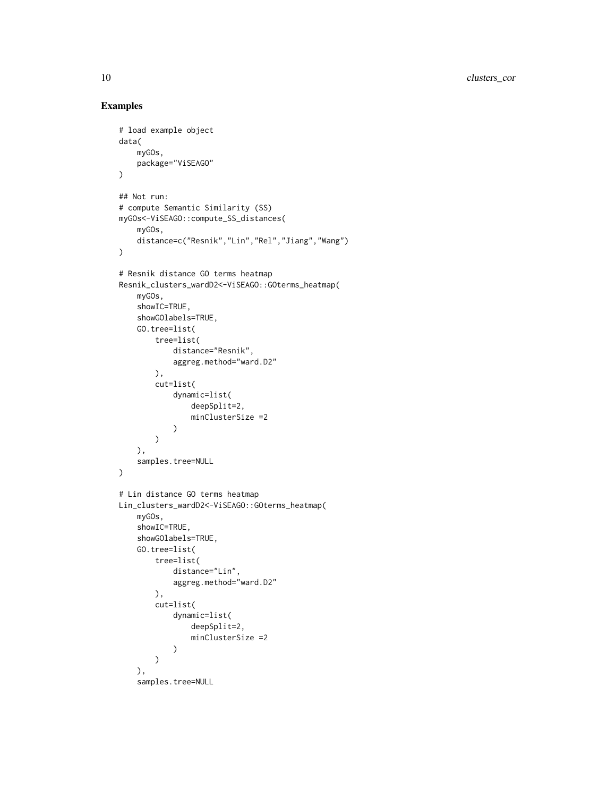```
# load example object
data(
    myGOs,
    package="ViSEAGO"
\mathcal{L}## Not run:
# compute Semantic Similarity (SS)
myGOs<-ViSEAGO::compute_SS_distances(
    myGOs,
    distance=c("Resnik","Lin","Rel","Jiang","Wang")
)
# Resnik distance GO terms heatmap
Resnik_clusters_wardD2<-ViSEAGO::GOterms_heatmap(
    myGOs,
    showIC=TRUE,
    showGOlabels=TRUE,
    GO.tree=list(
        tree=list(
            distance="Resnik",
            aggreg.method="ward.D2"
        ),
        cut=list(
            dynamic=list(
                deepSplit=2,
                minClusterSize =2
            )
        )
    ),
    samples.tree=NULL
\lambda# Lin distance GO terms heatmap
Lin_clusters_wardD2<-ViSEAGO::GOterms_heatmap(
    myGOs,
    showIC=TRUE,
    showGOlabels=TRUE,
    GO.tree=list(
        tree=list(
            distance="Lin",
            aggreg.method="ward.D2"
        ),
        cut=list(
            dynamic=list(
                deepSplit=2,
                minClusterSize =2
            )
        )
    ),
    samples.tree=NULL
```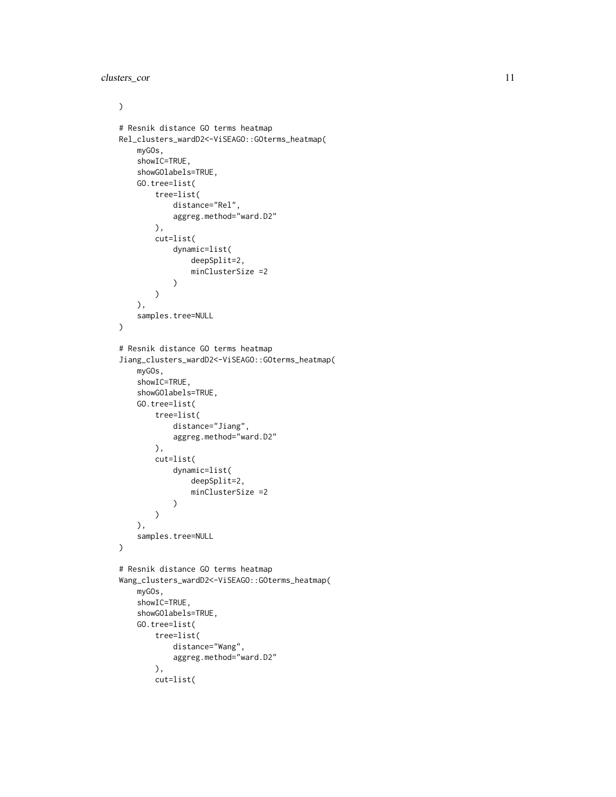clusters\_cor 11

```
\mathcal{L}# Resnik distance GO terms heatmap
Rel_clusters_wardD2<-ViSEAGO::GOterms_heatmap(
    myGOs,
    showIC=TRUE,
    showGOlabels=TRUE,
    GO.tree=list(
        tree=list(
            distance="Rel",
            aggreg.method="ward.D2"
        ),
        cut=list(
            dynamic=list(
                 deepSplit=2,
                minClusterSize =2
            )
        )
    ),
    samples.tree=NULL
)
# Resnik distance GO terms heatmap
Jiang_clusters_wardD2<-ViSEAGO::GOterms_heatmap(
    myGOs,
    showIC=TRUE,
    showGOlabels=TRUE,
    GO.tree=list(
        tree=list(
            distance="Jiang",
            aggreg.method="ward.D2"
        ),
        cut=list(
            dynamic=list(
                 deepSplit=2,
                minClusterSize =2
            \mathcal{L})
    ),
    samples.tree=NULL
\mathcal{L}# Resnik distance GO terms heatmap
Wang_clusters_wardD2<-ViSEAGO::GOterms_heatmap(
    myGOs,
    showIC=TRUE,
    showGOlabels=TRUE,
    GO.tree=list(
        tree=list(
            distance="Wang",
            aggreg.method="ward.D2"
        ),
        cut=list(
```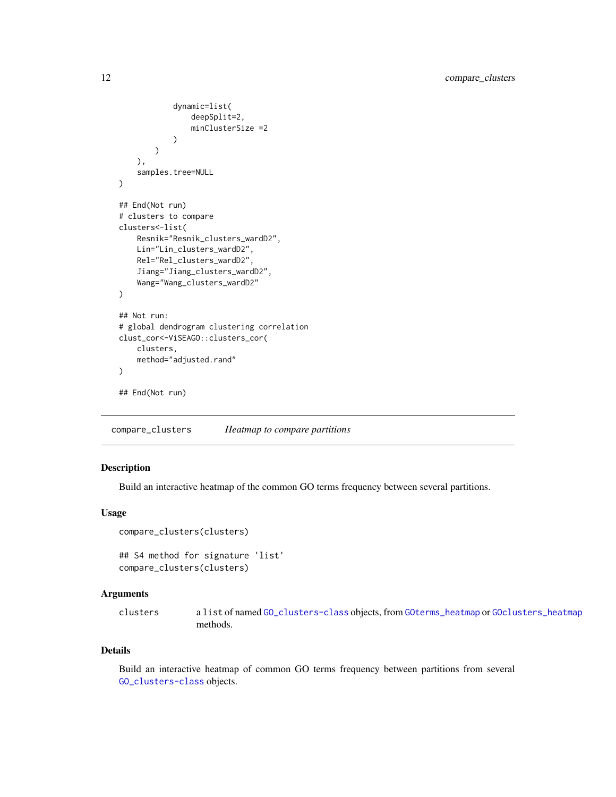```
dynamic=list(
                deepSplit=2,
                minClusterSize =2
            )
        )
    ),
    samples.tree=NULL
)
## End(Not run)
# clusters to compare
clusters<-list(
    Resnik="Resnik_clusters_wardD2",
   Lin="Lin_clusters_wardD2",
   Rel="Rel_clusters_wardD2",
    Jiang="Jiang_clusters_wardD2",
    Wang="Wang_clusters_wardD2"
)
## Not run:
# global dendrogram clustering correlation
clust_cor<-ViSEAGO::clusters_cor(
   clusters,
    method="adjusted.rand"
\mathcal{L}## End(Not run)
```
<span id="page-11-1"></span>compare\_clusters *Heatmap to compare partitions*

# Description

Build an interactive heatmap of the common GO terms frequency between several partitions.

# Usage

```
compare_clusters(clusters)
```

```
## S4 method for signature 'list'
compare_clusters(clusters)
```
#### Arguments

clusters a list of named [GO\\_clusters-class](#page-30-1) objects, from [GOterms\\_heatmap](#page-27-1) or [GOclusters\\_heatmap](#page-23-2) methods.

#### Details

Build an interactive heatmap of common GO terms frequency between partitions from several [GO\\_clusters-class](#page-30-1) objects.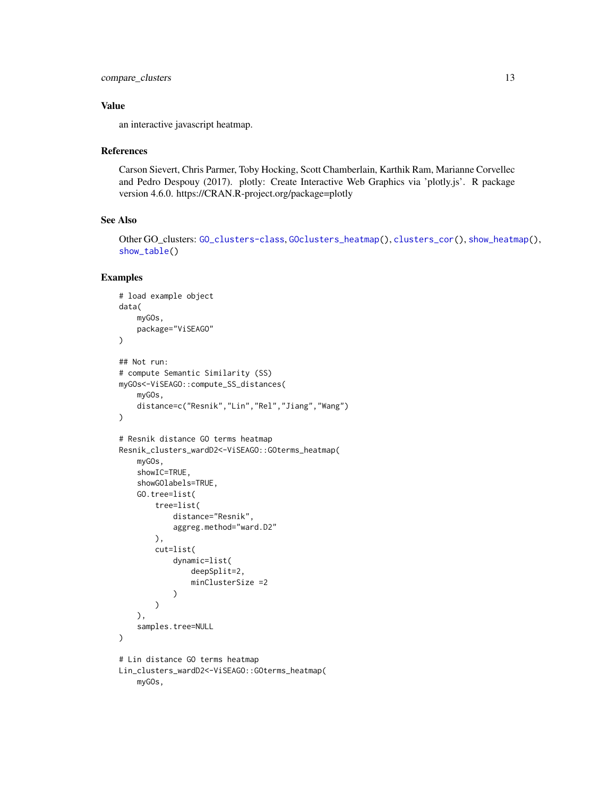```
compare_clusters 13
```
# Value

an interactive javascript heatmap.

#### References

Carson Sievert, Chris Parmer, Toby Hocking, Scott Chamberlain, Karthik Ram, Marianne Corvellec and Pedro Despouy (2017). plotly: Create Interactive Web Graphics via 'plotly.js'. R package version 4.6.0. https://CRAN.R-project.org/package=plotly

# See Also

Other GO\_clusters: [GO\\_clusters-class](#page-30-1), [GOclusters\\_heatmap\(](#page-23-2)), [clusters\\_cor\(](#page-8-1)), [show\\_heatmap\(](#page-40-1)), [show\\_table\(](#page-43-1))

```
# load example object
data(
    myGOs,
    package="ViSEAGO"
)
## Not run:
# compute Semantic Similarity (SS)
myGOs<-ViSEAGO::compute_SS_distances(
   myGOs,
    distance=c("Resnik","Lin","Rel","Jiang","Wang")
\lambda# Resnik distance GO terms heatmap
Resnik_clusters_wardD2<-ViSEAGO::GOterms_heatmap(
    myGOs,
    showIC=TRUE,
    showGOlabels=TRUE,
    GO.tree=list(
        tree=list(
            distance="Resnik",
            aggreg.method="ward.D2"
        ),
        cut=list(
            dynamic=list(
                deepSplit=2,
                minClusterSize =2
            )
        )
    ),
    samples.tree=NULL
)
# Lin distance GO terms heatmap
Lin_clusters_wardD2<-ViSEAGO::GOterms_heatmap(
   myGOs,
```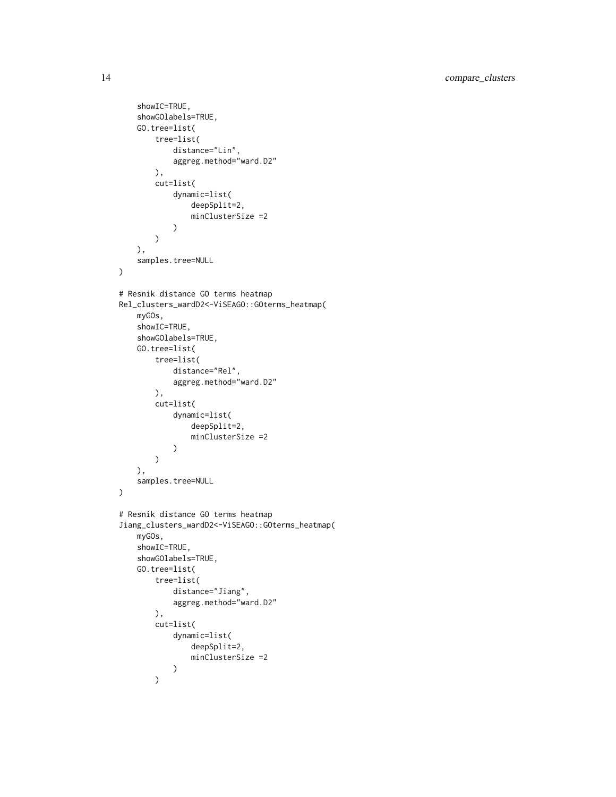```
showIC=TRUE,
    showGOlabels=TRUE,
    GO.tree=list(
        tree=list(
            distance="Lin",
            aggreg.method="ward.D2"
        ),
        cut=list(
            dynamic=list(
                deepSplit=2,
                minClusterSize =2
            \mathcal{L})
    ),
    samples.tree=NULL
\mathcal{L}# Resnik distance GO terms heatmap
Rel_clusters_wardD2<-ViSEAGO::GOterms_heatmap(
    myGOs,
    showIC=TRUE,
    showGOlabels=TRUE,
    GO.tree=list(
        tree=list(
            distance="Rel",
            aggreg.method="ward.D2"
        ),
        cut=list(
            dynamic=list(
                deepSplit=2,
                minClusterSize =2
            )
        )
    ),
    samples.tree=NULL
)
# Resnik distance GO terms heatmap
Jiang_clusters_wardD2<-ViSEAGO::GOterms_heatmap(
    myGOs,
    showIC=TRUE,
    showGOlabels=TRUE,
    GO.tree=list(
        tree=list(
            distance="Jiang",
            aggreg.method="ward.D2"
        ),
        cut=list(
            dynamic=list(
                deepSplit=2,
                minClusterSize =2
            )
        )
```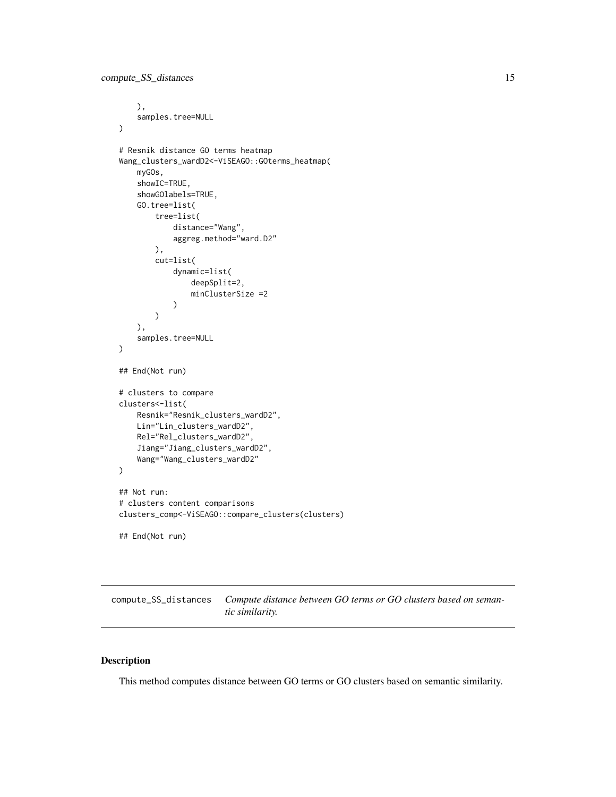```
),
    samples.tree=NULL
)
# Resnik distance GO terms heatmap
Wang_clusters_wardD2<-ViSEAGO::GOterms_heatmap(
    myGOs,
    showIC=TRUE,
    showGOlabels=TRUE,
    GO.tree=list(
        tree=list(
            distance="Wang",
            aggreg.method="ward.D2"
        ),
        cut=list(
            dynamic=list(
                deepSplit=2,
                minClusterSize =2
            )
        )
    ),
    samples.tree=NULL
\mathcal{L}## End(Not run)
# clusters to compare
clusters<-list(
    Resnik="Resnik_clusters_wardD2",
    Lin="Lin_clusters_wardD2",
    Rel="Rel_clusters_wardD2",
    Jiang="Jiang_clusters_wardD2",
    Wang="Wang_clusters_wardD2"
)
## Not run:
# clusters content comparisons
clusters_comp<-ViSEAGO::compare_clusters(clusters)
## End(Not run)
```
<span id="page-14-1"></span>compute\_SS\_distances *Compute distance between GO terms or GO clusters based on semantic similarity.*

#### Description

This method computes distance between GO terms or GO clusters based on semantic similarity.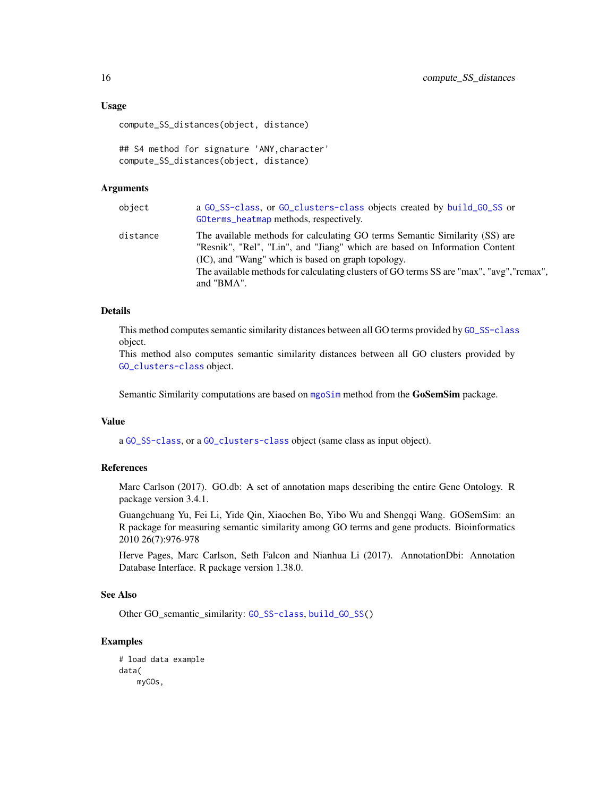### Usage

compute\_SS\_distances(object, distance)

```
## S4 method for signature 'ANY,character'
compute_SS_distances(object, distance)
```
#### Arguments

| object   | a GO_SS-class, or GO_clusters-class objects created by build_GO_SS or<br>GOterms_heatmap methods, respectively.                                                                                                                                                                                                           |
|----------|---------------------------------------------------------------------------------------------------------------------------------------------------------------------------------------------------------------------------------------------------------------------------------------------------------------------------|
| distance | The available methods for calculating GO terms Semantic Similarity (SS) are<br>"Resnik", "Rel", "Lin", and "Jiang" which are based on Information Content<br>(IC), and "Wang" which is based on graph topology.<br>The available methods for calculating clusters of GO terms SS are "max", "avg", "rcmax",<br>and "BMA". |

### Details

This method computes semantic similarity distances between all GO terms provided by [GO\\_SS-class](#page-31-1) object.

This method also computes semantic similarity distances between all GO clusters provided by [GO\\_clusters-class](#page-30-1) object.

Semantic Similarity computations are based on [mgoSim](#page-0-0) method from the GoSemSim package.

#### Value

a [GO\\_SS-class](#page-31-1), or a [GO\\_clusters-class](#page-30-1) object (same class as input object).

#### References

Marc Carlson (2017). GO.db: A set of annotation maps describing the entire Gene Ontology. R package version 3.4.1.

Guangchuang Yu, Fei Li, Yide Qin, Xiaochen Bo, Yibo Wu and Shengqi Wang. GOSemSim: an R package for measuring semantic similarity among GO terms and gene products. Bioinformatics 2010 26(7):976-978

Herve Pages, Marc Carlson, Seth Falcon and Nianhua Li (2017). AnnotationDbi: Annotation Database Interface. R package version 1.38.0.

#### See Also

Other GO\_semantic\_similarity: [GO\\_SS-class](#page-31-1), [build\\_GO\\_SS\(](#page-7-1))

```
# load data example
data(
   myGOs,
```
<span id="page-15-0"></span>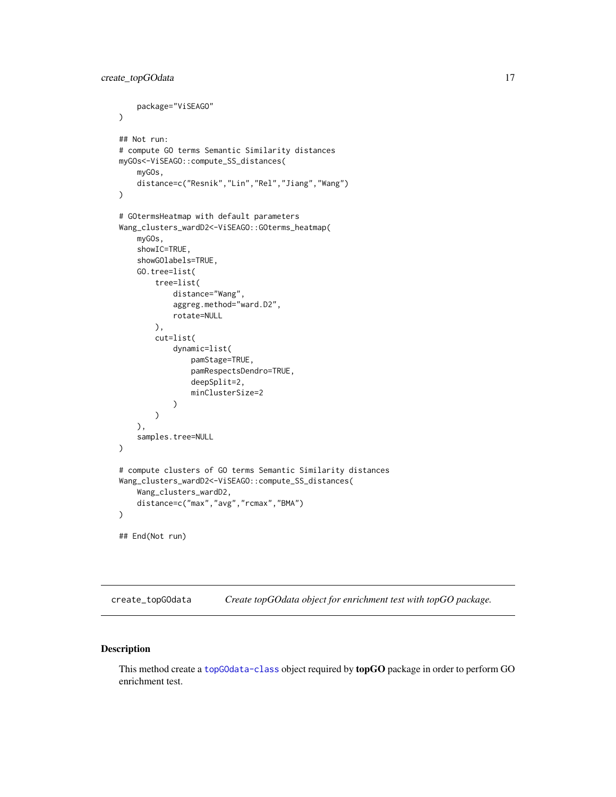```
package="ViSEAGO"
\mathcal{L}## Not run:
# compute GO terms Semantic Similarity distances
myGOs<-ViSEAGO::compute_SS_distances(
    myGOs,
    distance=c("Resnik","Lin","Rel","Jiang","Wang")
\mathcal{L}# GOtermsHeatmap with default parameters
Wang_clusters_wardD2<-ViSEAGO::GOterms_heatmap(
    myGOs,
    showIC=TRUE,
    showGOlabels=TRUE,
    GO.tree=list(
        tree=list(
            distance="Wang",
            aggreg.method="ward.D2",
            rotate=NULL
        ),
        cut=list(
            dynamic=list(
                 pamStage=TRUE,
                 pamRespectsDendro=TRUE,
                 deepSplit=2,
                 minClusterSize=2
            )
        )
    ),
    samples.tree=NULL
)
# compute clusters of GO terms Semantic Similarity distances
Wang_clusters_wardD2<-ViSEAGO::compute_SS_distances(
    Wang_clusters_wardD2,
    distance=c("max","avg","rcmax","BMA")
\mathcal{L}## End(Not run)
```
<span id="page-16-1"></span>create\_topGOdata *Create topGOdata object for enrichment test with topGO package.*

# Description

This method create a [topGOdata-class](#page-0-0) object required by topGO package in order to perform GO enrichment test.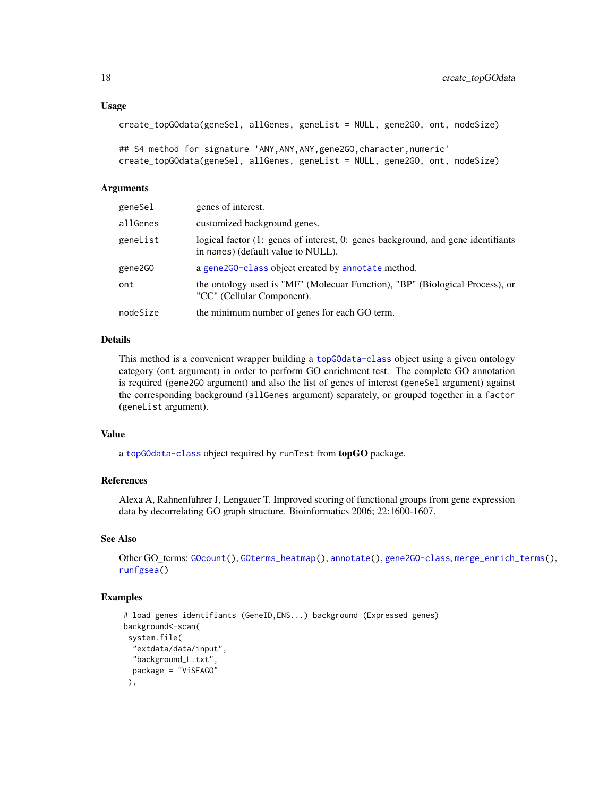```
create_topGOdata(geneSel, allGenes, geneList = NULL, gene2GO, ont, nodeSize)
```

```
## S4 method for signature 'ANY, ANY, ANY, gene2GO, character, numeric'
create_topGOdata(geneSel, allGenes, geneList = NULL, gene2GO, ont, nodeSize)
```
#### Arguments

| geneSel  | genes of interest.                                                                                                     |
|----------|------------------------------------------------------------------------------------------------------------------------|
| allGenes | customized background genes.                                                                                           |
| geneList | logical factor (1: genes of interest, 0: genes background, and gene identifiants<br>in names) (default value to NULL). |
| gene2GO  | a gene2G0-class object created by annotate method.                                                                     |
| ont      | the ontology used is "MF" (Molecuar Function), "BP" (Biological Process), or<br>"CC" (Cellular Component).             |
| nodeSize | the minimum number of genes for each GO term.                                                                          |

#### Details

This method is a convenient wrapper building a [topGOdata-class](#page-0-0) object using a given ontology category (ont argument) in order to perform GO enrichment test. The complete GO annotation is required (gene2GO argument) and also the list of genes of interest (geneSel argument) against the corresponding background (allGenes argument) separately, or grouped together in a factor (geneList argument).

#### Value

a [topGOdata-class](#page-0-0) object required by runTest from topGO package.

#### References

Alexa A, Rahnenfuhrer J, Lengauer T. Improved scoring of functional groups from gene expression data by decorrelating GO graph structure. Bioinformatics 2006; 22:1600-1607.

# See Also

```
Other GO_terms: GOcount(), GOterms_heatmap(), annotate(), gene2GO-class, merge_enrich_terms(),
runfgsea()
```

```
# load genes identifiants (GeneID,ENS...) background (Expressed genes)
background<-scan(
system.file(
  "extdata/data/input",
 "background_L.txt",
 package = "ViSEAGO"
),
```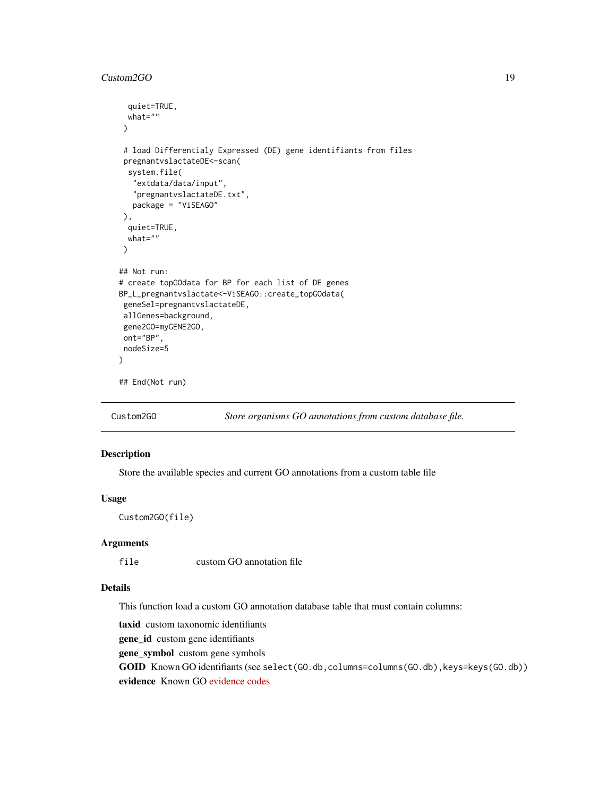#### <span id="page-18-0"></span>Custom2GO 19

```
quiet=TRUE,
 what=""
)
# load Differentialy Expressed (DE) gene identifiants from files
pregnantvslactateDE<-scan(
 system.file(
  "extdata/data/input",
  "pregnantvslactateDE.txt",
  package = "ViSEAGO"
),
 quiet=TRUE,
 what=")
## Not run:
# create topGOdata for BP for each list of DE genes
BP_L_pregnantvslactate<-ViSEAGO::create_topGOdata(
geneSel=pregnantvslactateDE,
allGenes=background,
gene2GO=myGENE2GO,
ont="BP",
nodeSize=5
)
## End(Not run)
```
<span id="page-18-1"></span>

Custom2GO *Store organisms GO annotations from custom database file.*

# Description

Store the available species and current GO annotations from a custom table file

# Usage

Custom2GO(file)

#### Arguments

file custom GO annotation file

# Details

This function load a custom GO annotation database table that must contain columns:

taxid custom taxonomic identifiants

gene\_id custom gene identifiants

gene\_symbol custom gene symbols

GOID Known GO identifiants (see select (GO.db, columns=columns(GO.db), keys=keys(GO.db)) evidence Known GO [evidence codes](http://geneontology.org/page/guide-go-evidence-codes)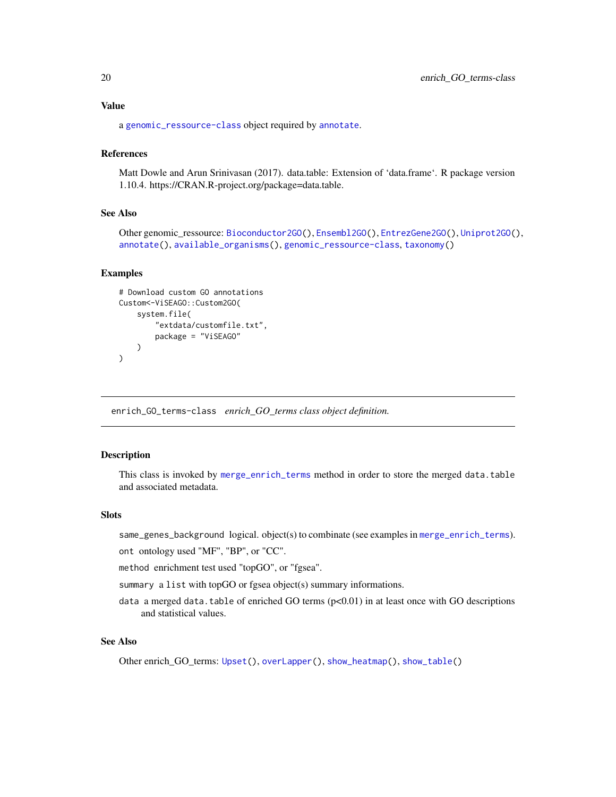#### <span id="page-19-0"></span>Value

a [genomic\\_ressource-class](#page-23-1) object required by [annotate](#page-2-1).

#### References

Matt Dowle and Arun Srinivasan (2017). data.table: Extension of 'data.frame'. R package version 1.10.4. https://CRAN.R-project.org/package=data.table.

#### See Also

Other genomic\_ressource: [Bioconductor2GO\(](#page-6-1)), [Ensembl2GO\(](#page-20-1)), [EntrezGene2GO\(](#page-21-1)), [Uniprot2GO\(](#page-45-1)), [annotate\(](#page-2-1)), [available\\_organisms\(](#page-4-1)), [genomic\\_ressource-class](#page-23-1), [taxonomy\(](#page-0-0))

#### Examples

```
# Download custom GO annotations
Custom<-ViSEAGO::Custom2GO(
    system.file(
        "extdata/customfile.txt",
        package = "ViSEAGO"
   )
)
```
<span id="page-19-1"></span>enrich\_GO\_terms-class *enrich\_GO\_terms class object definition.*

# Description

This class is invoked by [merge\\_enrich\\_terms](#page-33-1) method in order to store the merged data.table and associated metadata.

#### Slots

same\_genes\_background logical. object(s) to combinate (see examples in [merge\\_enrich\\_terms](#page-33-1)).

ont ontology used "MF", "BP", or "CC".

method enrichment test used "topGO", or "fgsea".

summary a list with topGO or fgsea object(s) summary informations.

data a merged data.table of enriched GO terms  $(p<0.01)$  in at least once with GO descriptions and statistical values.

# See Also

Other enrich\_GO\_terms: [Upset\(](#page-46-1)), [overLapper\(](#page-0-0)), [show\\_heatmap\(](#page-40-1)), [show\\_table\(](#page-43-1))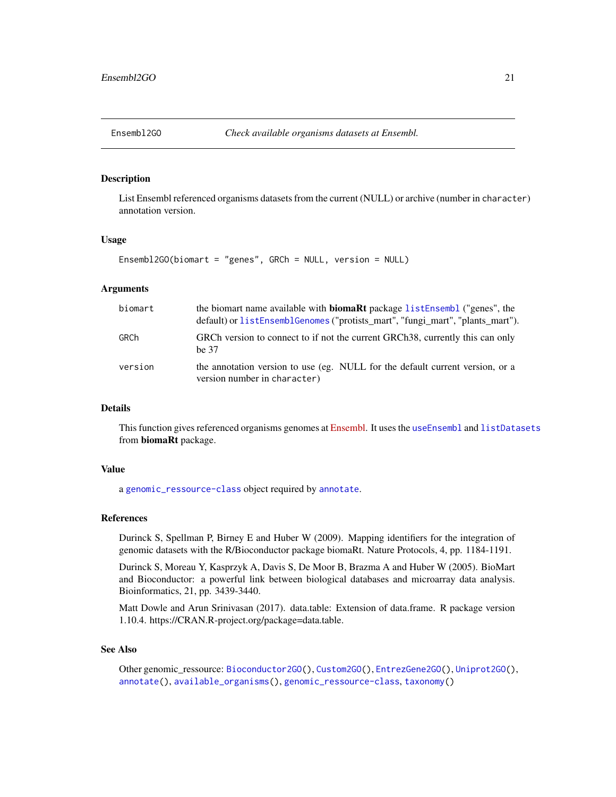<span id="page-20-1"></span><span id="page-20-0"></span>

# Description

List Ensembl referenced organisms datasets from the current (NULL) or archive (number in character) annotation version.

#### Usage

```
Ensembl2GO(biomart = "genes", GRCh = NULL, version = NULL)
```
#### Arguments

| biomart | the biomart name available with <b>biomaRt</b> package listEnsembl ("genes", the<br>default) or listEnsemblGenomes ("protists_mart", "fungi_mart", "plants_mart"). |
|---------|--------------------------------------------------------------------------------------------------------------------------------------------------------------------|
| GRCh    | GRCh version to connect to if not the current GRCh38, currently this can only<br>he 37                                                                             |
| version | the annotation version to use (eg. NULL for the default current version, or a<br>version number in character)                                                      |

#### Details

This function gives referenced organisms genomes at [Ensembl.](http://ensemblgenomes.org/) It uses the [useEnsembl](#page-0-0) and [listDatasets](#page-0-0) from biomaRt package.

#### Value

a [genomic\\_ressource-class](#page-23-1) object required by [annotate](#page-2-1).

#### References

Durinck S, Spellman P, Birney E and Huber W (2009). Mapping identifiers for the integration of genomic datasets with the R/Bioconductor package biomaRt. Nature Protocols, 4, pp. 1184-1191.

Durinck S, Moreau Y, Kasprzyk A, Davis S, De Moor B, Brazma A and Huber W (2005). BioMart and Bioconductor: a powerful link between biological databases and microarray data analysis. Bioinformatics, 21, pp. 3439-3440.

Matt Dowle and Arun Srinivasan (2017). data.table: Extension of data.frame. R package version 1.10.4. https://CRAN.R-project.org/package=data.table.

#### See Also

Other genomic\_ressource: [Bioconductor2GO\(](#page-6-1)), [Custom2GO\(](#page-18-1)), [EntrezGene2GO\(](#page-21-1)), [Uniprot2GO\(](#page-45-1)), [annotate\(](#page-2-1)), [available\\_organisms\(](#page-4-1)), [genomic\\_ressource-class](#page-23-1), [taxonomy\(](#page-0-0))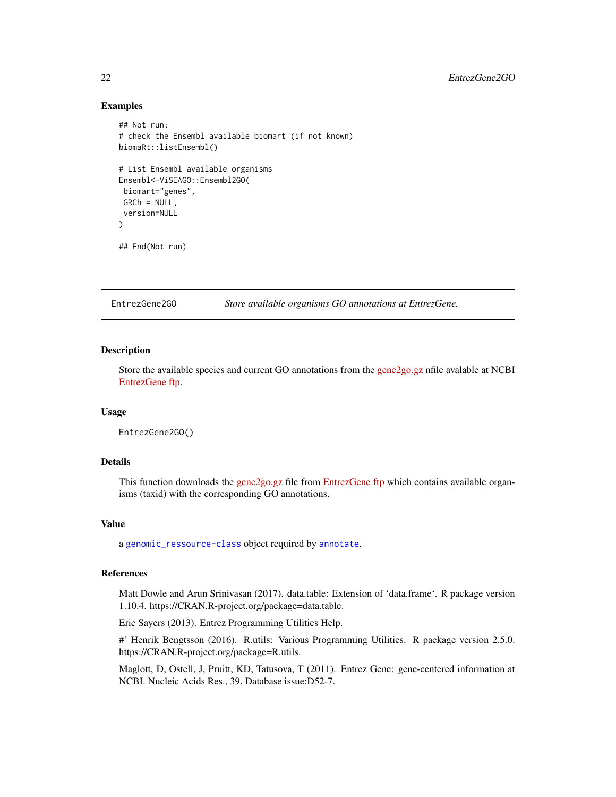### <span id="page-21-0"></span>Examples

```
## Not run:
# check the Ensembl available biomart (if not known)
biomaRt::listEnsembl()
# List Ensembl available organisms
Ensembl<-ViSEAGO::Ensembl2GO(
 biomart="genes",
 GRCh = NULL.
 version=NULL
\lambda## End(Not run)
```
<span id="page-21-1"></span>EntrezGene2GO *Store available organisms GO annotations at EntrezGene.*

#### Description

Store the available species and current GO annotations from the [gene2go.gz](https://ftp.ncbi.nih.gov/gene/DATA/gene2go.gz) nfile avalable at NCBI [EntrezGene ftp.](https://ftp.ncbi.nih.gov/gene/DATA)

#### Usage

EntrezGene2GO()

#### Details

This function downloads the [gene2go.gz](https://ftp.ncbi.nih.gov/gene/DATA/gene2go.gz) file from [EntrezGene ftp](https://ftp.ncbi.nih.gov/gene/DATA) which contains available organisms (taxid) with the corresponding GO annotations.

#### Value

a [genomic\\_ressource-class](#page-23-1) object required by [annotate](#page-2-1).

#### References

Matt Dowle and Arun Srinivasan (2017). data.table: Extension of 'data.frame'. R package version 1.10.4. https://CRAN.R-project.org/package=data.table.

Eric Sayers (2013). Entrez Programming Utilities Help.

#' Henrik Bengtsson (2016). R.utils: Various Programming Utilities. R package version 2.5.0. https://CRAN.R-project.org/package=R.utils.

Maglott, D, Ostell, J, Pruitt, KD, Tatusova, T (2011). Entrez Gene: gene-centered information at NCBI. Nucleic Acids Res., 39, Database issue:D52-7.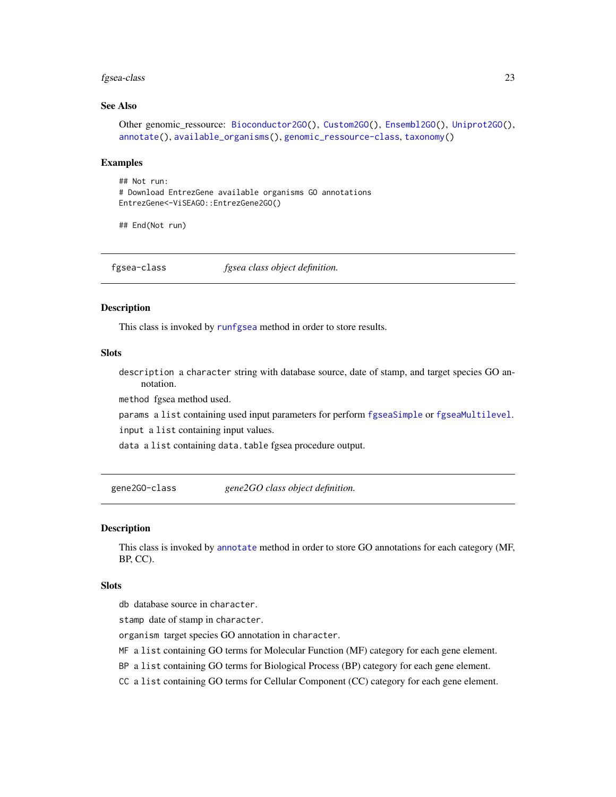#### <span id="page-22-0"></span>fgsea-class 23

# See Also

```
Other genomic_ressource: Bioconductor2GO(), Custom2GO(), Ensembl2GO(), Uniprot2GO(),
annotate(), available_organisms(), genomic_ressource-class, taxonomy()
```
#### Examples

```
## Not run:
# Download EntrezGene available organisms GO annotations
EntrezGene<-ViSEAGO::EntrezGene2GO()
```
## End(Not run)

<span id="page-22-2"></span>fgsea-class *fgsea class object definition.*

#### Description

This class is invoked by [runfgsea](#page-38-1) method in order to store results.

#### **Slots**

description a character string with database source, date of stamp, and target species GO annotation.

method fgsea method used.

params a list containing used input parameters for perform [fgseaSimple](#page-0-0) or [fgseaMultilevel](#page-0-0).

input a list containing input values.

data a list containing data.table fgsea procedure output.

<span id="page-22-1"></span>gene2GO-class *gene2GO class object definition.*

#### Description

This class is invoked by [annotate](#page-2-1) method in order to store GO annotations for each category (MF, BP, CC).

#### **Slots**

db database source in character.

stamp date of stamp in character.

organism target species GO annotation in character.

MF a list containing GO terms for Molecular Function (MF) category for each gene element.

BP a list containing GO terms for Biological Process (BP) category for each gene element.

CC a list containing GO terms for Cellular Component (CC) category for each gene element.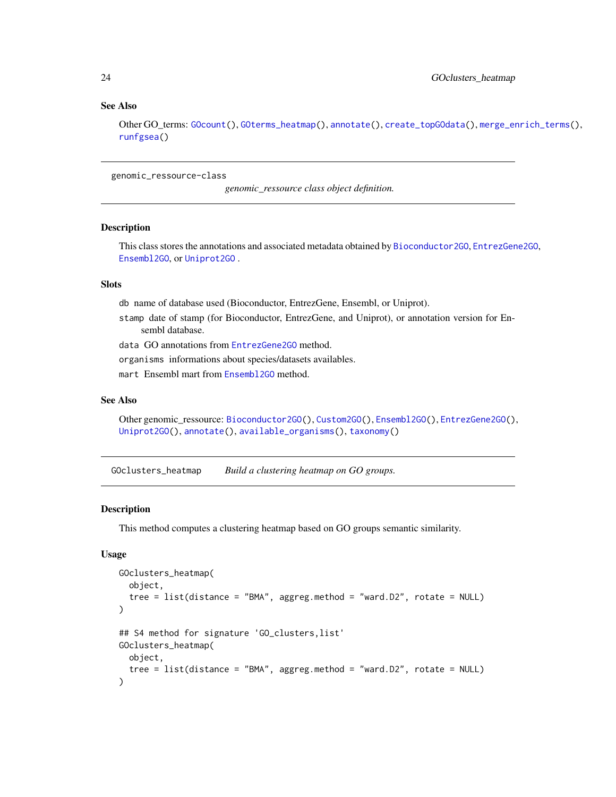#### See Also

Other GO\_terms: [GOcount\(](#page-26-1)), [GOterms\\_heatmap\(](#page-27-1)), [annotate\(](#page-2-1)), [create\\_topGOdata\(](#page-16-1)), [merge\\_enrich\\_terms\(](#page-33-1)), [runfgsea\(](#page-38-1))

<span id="page-23-1"></span>genomic\_ressource-class

*genomic\_ressource class object definition.*

#### Description

This class stores the annotations and associated metadata obtained by [Bioconductor2GO](#page-6-1), [EntrezGene2GO](#page-21-1), [Ensembl2GO](#page-20-1), or [Uniprot2GO](#page-45-1) .

#### **Slots**

db name of database used (Bioconductor, EntrezGene, Ensembl, or Uniprot).

stamp date of stamp (for Bioconductor, EntrezGene, and Uniprot), or annotation version for Ensembl database.

data GO annotations from [EntrezGene2GO](#page-21-1) method.

organisms informations about species/datasets availables.

mart Ensembl mart from [Ensembl2GO](#page-20-1) method.

# See Also

Other genomic\_ressource: [Bioconductor2GO\(](#page-6-1)), [Custom2GO\(](#page-18-1)), [Ensembl2GO\(](#page-20-1)), [EntrezGene2GO\(](#page-21-1)), [Uniprot2GO\(](#page-45-1)), [annotate\(](#page-2-1)), [available\\_organisms\(](#page-4-1)), [taxonomy\(](#page-0-0))

<span id="page-23-2"></span>GOclusters\_heatmap *Build a clustering heatmap on GO groups.*

#### Description

This method computes a clustering heatmap based on GO groups semantic similarity.

#### Usage

```
GOclusters_heatmap(
  object,
  tree = list(distance = "BMA", aggreg.method = "ward.D2", rotate = NULL)
\lambda## S4 method for signature 'GO_clusters,list'
GOclusters_heatmap(
  object,
  tree = list(distance = "BMA", aggreg.method = "ward.D2", rotate = NULL)
)
```
<span id="page-23-0"></span>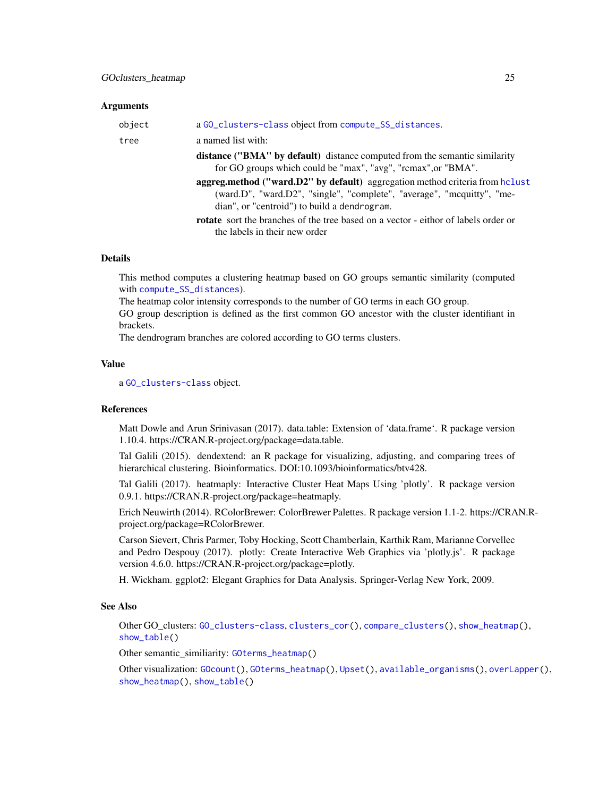#### <span id="page-24-0"></span>Arguments

| object | a GO_clusters-class object from compute_SS_distances.                                                                                                                                                                                                                                                                                                        |
|--------|--------------------------------------------------------------------------------------------------------------------------------------------------------------------------------------------------------------------------------------------------------------------------------------------------------------------------------------------------------------|
| tree   | a named list with:                                                                                                                                                                                                                                                                                                                                           |
|        | <b>distance ("BMA" by default)</b> distance computed from the semantic similarity<br>for GO groups which could be "max", "avg", "rcmax", or "BMA".<br>aggreg.method ("ward.D2" by default) aggregation method criteria from hclust<br>(ward.D", "ward.D2", "single", "complete", "average", "mcquitty", "me-<br>dian", or "centroid") to build a dendrogram. |
|        | <b>rotate</b> sort the branches of the tree based on a vector - eithor of labels order or<br>the labels in their new order                                                                                                                                                                                                                                   |

#### Details

This method computes a clustering heatmap based on GO groups semantic similarity (computed with [compute\\_SS\\_distances](#page-14-1)).

The heatmap color intensity corresponds to the number of GO terms in each GO group.

GO group description is defined as the first common GO ancestor with the cluster identifiant in brackets.

The dendrogram branches are colored according to GO terms clusters.

# Value

a [GO\\_clusters-class](#page-30-1) object.

# References

Matt Dowle and Arun Srinivasan (2017). data.table: Extension of 'data.frame'. R package version 1.10.4. https://CRAN.R-project.org/package=data.table.

Tal Galili (2015). dendextend: an R package for visualizing, adjusting, and comparing trees of hierarchical clustering. Bioinformatics. DOI:10.1093/bioinformatics/btv428.

Tal Galili (2017). heatmaply: Interactive Cluster Heat Maps Using 'plotly'. R package version 0.9.1. https://CRAN.R-project.org/package=heatmaply.

Erich Neuwirth (2014). RColorBrewer: ColorBrewer Palettes. R package version 1.1-2. https://CRAN.Rproject.org/package=RColorBrewer.

Carson Sievert, Chris Parmer, Toby Hocking, Scott Chamberlain, Karthik Ram, Marianne Corvellec and Pedro Despouy (2017). plotly: Create Interactive Web Graphics via 'plotly.js'. R package version 4.6.0. https://CRAN.R-project.org/package=plotly.

H. Wickham. ggplot2: Elegant Graphics for Data Analysis. Springer-Verlag New York, 2009.

#### See Also

Other GO\_clusters: [GO\\_clusters-class](#page-30-1), [clusters\\_cor\(](#page-8-1)), [compare\\_clusters\(](#page-11-1)), [show\\_heatmap\(](#page-40-1)), [show\\_table\(](#page-43-1))

Other semantic\_similiarity: [GOterms\\_heatmap\(](#page-27-1))

Other visualization: [GOcount\(](#page-26-1)), [GOterms\\_heatmap\(](#page-27-1)), [Upset\(](#page-46-1)), [available\\_organisms\(](#page-4-1)), [overLapper\(](#page-0-0)), [show\\_heatmap\(](#page-40-1)), [show\\_table\(](#page-43-1))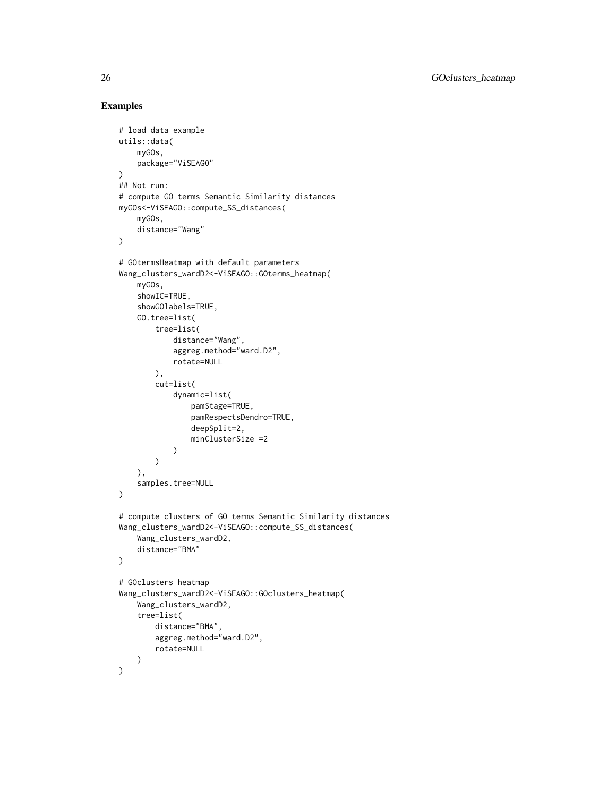```
# load data example
utils::data(
    myGOs,
    package="ViSEAGO"
\mathcal{L}## Not run:
# compute GO terms Semantic Similarity distances
myGOs<-ViSEAGO::compute_SS_distances(
    myGOs,
    distance="Wang"
)
# GOtermsHeatmap with default parameters
Wang_clusters_wardD2<-ViSEAGO::GOterms_heatmap(
    myGOs,
    showIC=TRUE,
    showGOlabels=TRUE,
    GO.tree=list(
        tree=list(
            distance="Wang",
            aggreg.method="ward.D2",
            rotate=NULL
        ),
        cut=list(
            dynamic=list(
                pamStage=TRUE,
                pamRespectsDendro=TRUE,
                deepSplit=2,
                minClusterSize =2
            )
        )
    ),
    samples.tree=NULL
)
# compute clusters of GO terms Semantic Similarity distances
Wang_clusters_wardD2<-ViSEAGO::compute_SS_distances(
    Wang_clusters_wardD2,
    distance="BMA"
\mathcal{L}# GOclusters heatmap
Wang_clusters_wardD2<-ViSEAGO::GOclusters_heatmap(
    Wang_clusters_wardD2,
    tree=list(
        distance="BMA",
        aggreg.method="ward.D2",
        rotate=NULL
    )
)
```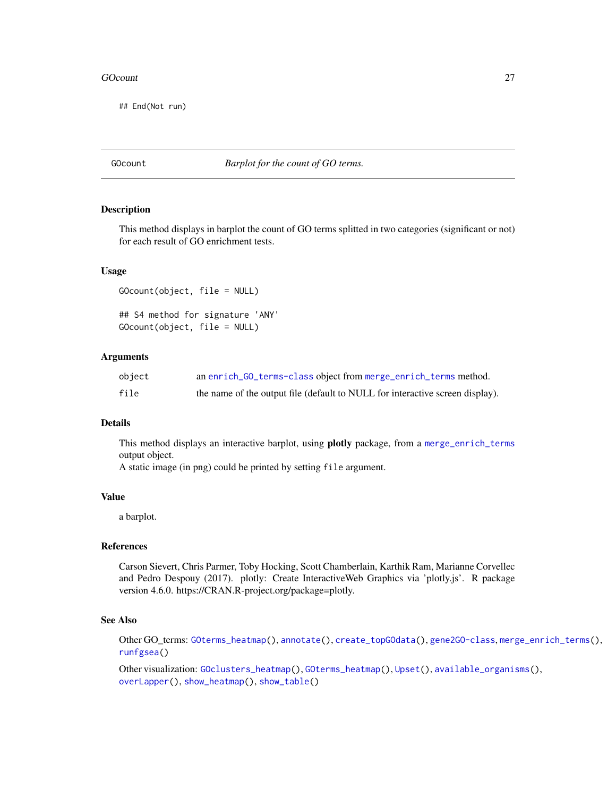#### <span id="page-26-0"></span>GOcount 27

## End(Not run)

<span id="page-26-1"></span>GOcount *Barplot for the count of GO terms.*

# Description

This method displays in barplot the count of GO terms splitted in two categories (significant or not) for each result of GO enrichment tests.

#### Usage

GOcount(object, file = NULL) ## S4 method for signature 'ANY' GOcount(object, file = NULL)

#### Arguments

| object | an enrich_GO_terms-class object from merge_enrich_terms method.               |
|--------|-------------------------------------------------------------------------------|
| file   | the name of the output file (default to NULL for interactive screen display). |

# Details

This method displays an interactive barplot, using plotly package, from a [merge\\_enrich\\_terms](#page-33-1) output object.

A static image (in png) could be printed by setting file argument.

#### Value

a barplot.

#### References

Carson Sievert, Chris Parmer, Toby Hocking, Scott Chamberlain, Karthik Ram, Marianne Corvellec and Pedro Despouy (2017). plotly: Create InteractiveWeb Graphics via 'plotly.js'. R package version 4.6.0. https://CRAN.R-project.org/package=plotly.

# See Also

Other GO\_terms: [GOterms\\_heatmap\(](#page-27-1)), [annotate\(](#page-2-1)), [create\\_topGOdata\(](#page-16-1)), [gene2GO-class](#page-22-1), [merge\\_enrich\\_terms\(](#page-33-1)), [runfgsea\(](#page-38-1))

Other visualization: [GOclusters\\_heatmap\(](#page-23-2)), [GOterms\\_heatmap\(](#page-27-1)), [Upset\(](#page-46-1)), [available\\_organisms\(](#page-4-1)), [overLapper\(](#page-0-0)), [show\\_heatmap\(](#page-40-1)), [show\\_table\(](#page-43-1))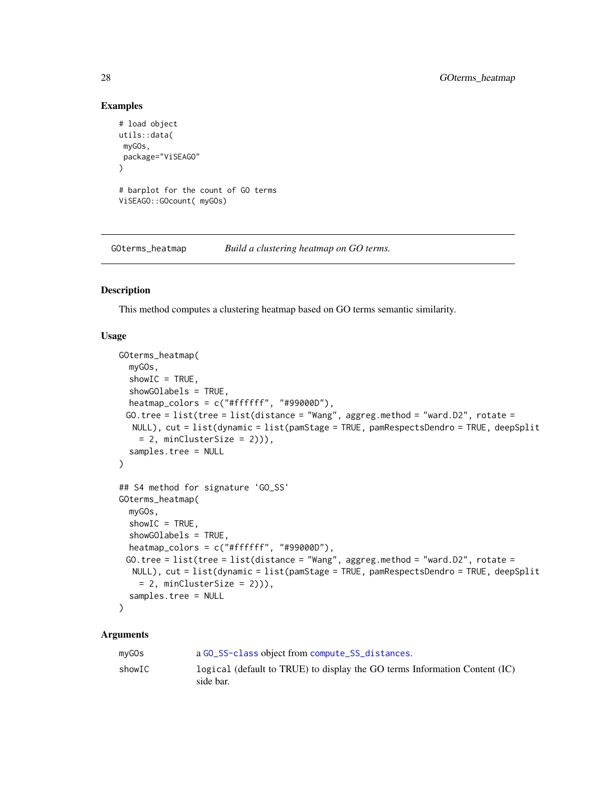# Examples

```
# load object
utils::data(
myGOs,
package="ViSEAGO"
\lambda# barplot for the count of GO terms
ViSEAGO::GOcount( myGOs)
```
<span id="page-27-1"></span>GOterms\_heatmap *Build a clustering heatmap on GO terms.*

# Description

This method computes a clustering heatmap based on GO terms semantic similarity.

# Usage

```
GOterms_heatmap(
 myGOs,
  showIC = TRUE,
  showGOlabels = TRUE,
  heatmap_colors = c("#ffffff", "#99000D"),
 GO.tree = list(tree = list(distance = "Wang", aggreg.method = "ward.D2", rotate =
  NULL), cut = list(dynamic = list(pamStage = TRUE, pamRespectsDendro = TRUE, deepSplit
    = 2, minClusterSize = 2))),
  samples.tree = NULL
\lambda## S4 method for signature 'GO_SS'
GOterms_heatmap(
 myGOs,
  showIC = TRUE,
  showGOlabels = TRUE,
  heatmap_colors = c("#ffffff", "#99000D"),
 GO.tree = list(tree = list(distance = "Wang", aggreg.method = "ward.D2", rotate =
  NULL), cut = list(dynamic = list(pamStage = TRUE, pamRespectsDendro = TRUE, deepSplit
   = 2, minClusterSize = 2)),
  samples.tree = NULL
)
```
#### Arguments

| mvGOs  | a GO_SS-class object from compute_SS_distances.                                           |
|--------|-------------------------------------------------------------------------------------------|
| showIC | logical (default to TRUE) to display the GO terms Information Content $(IC)$<br>side bar. |

<span id="page-27-0"></span>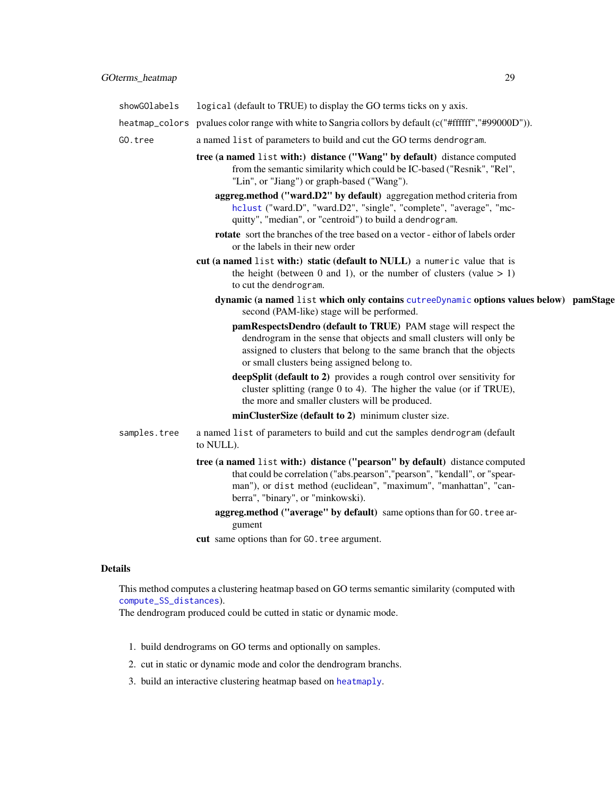<span id="page-28-0"></span>

| showGOlabels | logical (default to TRUE) to display the GO terms ticks on y axis.                                                                                                                                                                                                 |  |
|--------------|--------------------------------------------------------------------------------------------------------------------------------------------------------------------------------------------------------------------------------------------------------------------|--|
|              | heatmap_colors pvalues color range with white to Sangria collors by default (c("#ffffff","#99000D")).                                                                                                                                                              |  |
| GO.tree      | a named list of parameters to build and cut the GO terms dendrogram.                                                                                                                                                                                               |  |
|              | tree (a named list with:) distance ("Wang" by default) distance computed<br>from the semantic similarity which could be IC-based ("Resnik", "Rel",<br>"Lin", or "Jiang") or graph-based ("Wang").                                                                  |  |
|              | aggreg.method ("ward.D2" by default) aggregation method criteria from<br>hclust ("ward.D", "ward.D2", "single", "complete", "average", "mc-<br>quitty", "median", or "centroid") to build a dendrogram.                                                            |  |
|              | rotate sort the branches of the tree based on a vector - eithor of labels order<br>or the labels in their new order                                                                                                                                                |  |
|              | cut (a named list with:) static (default to NULL) a numeric value that is<br>the height (between 0 and 1), or the number of clusters (value $> 1$ )<br>to cut the dendrogram.                                                                                      |  |
|              | dynamic (a named list which only contains cutreeDynamic options values below) pamStage<br>second (PAM-like) stage will be performed.                                                                                                                               |  |
|              | pamRespectsDendro (default to TRUE) PAM stage will respect the<br>dendrogram in the sense that objects and small clusters will only be<br>assigned to clusters that belong to the same branch that the objects<br>or small clusters being assigned belong to.      |  |
|              | deepSplit (default to 2) provides a rough control over sensitivity for<br>cluster splitting (range $0$ to $4$ ). The higher the value (or if TRUE),<br>the more and smaller clusters will be produced.                                                             |  |
|              | minClusterSize (default to 2) minimum cluster size.                                                                                                                                                                                                                |  |
| samples.tree | a named list of parameters to build and cut the samples dendrogram (default<br>to NULL).                                                                                                                                                                           |  |
|              | tree (a named list with:) distance ("pearson" by default) distance computed<br>that could be correlation ("abs.pearson", "pearson", "kendall", or "spear-<br>man"), or dist method (euclidean", "maximum", "manhattan", "can-<br>berra", "binary", or "minkowski). |  |
|              | aggreg.method ("average" by default) same options than for GO. tree ar-<br>gument                                                                                                                                                                                  |  |
|              | cut same options than for GO. tree argument.                                                                                                                                                                                                                       |  |

# Details

This method computes a clustering heatmap based on GO terms semantic similarity (computed with [compute\\_SS\\_distances](#page-14-1)).

The dendrogram produced could be cutted in static or dynamic mode.

- 1. build dendrograms on GO terms and optionally on samples.
- 2. cut in static or dynamic mode and color the dendrogram branchs.
- 3. build an interactive clustering heatmap based on [heatmaply](#page-0-0).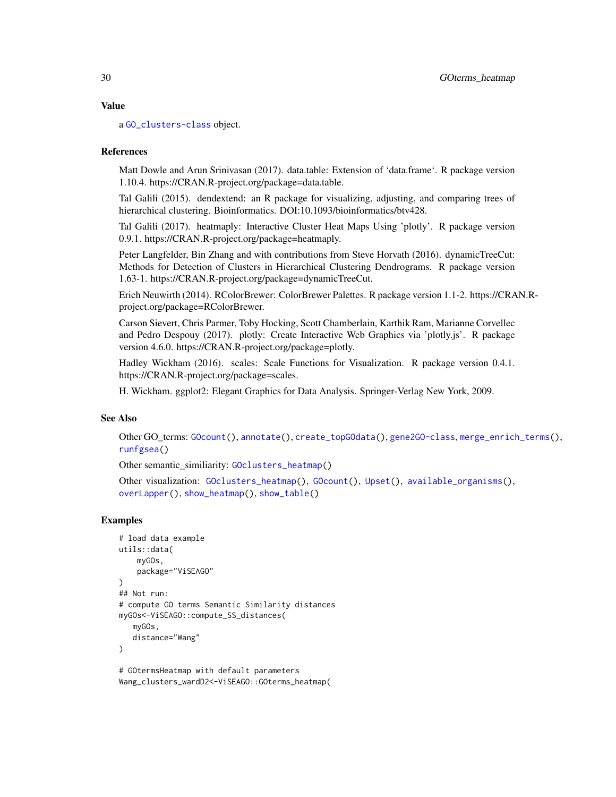#### <span id="page-29-0"></span>Value

a [GO\\_clusters-class](#page-30-1) object.

#### References

Matt Dowle and Arun Srinivasan (2017). data.table: Extension of 'data.frame'. R package version 1.10.4. https://CRAN.R-project.org/package=data.table.

Tal Galili (2015). dendextend: an R package for visualizing, adjusting, and comparing trees of hierarchical clustering. Bioinformatics. DOI:10.1093/bioinformatics/btv428.

Tal Galili (2017). heatmaply: Interactive Cluster Heat Maps Using 'plotly'. R package version 0.9.1. https://CRAN.R-project.org/package=heatmaply.

Peter Langfelder, Bin Zhang and with contributions from Steve Horvath (2016). dynamicTreeCut: Methods for Detection of Clusters in Hierarchical Clustering Dendrograms. R package version 1.63-1. https://CRAN.R-project.org/package=dynamicTreeCut.

Erich Neuwirth (2014). RColorBrewer: ColorBrewer Palettes. R package version 1.1-2. https://CRAN.Rproject.org/package=RColorBrewer.

Carson Sievert, Chris Parmer, Toby Hocking, Scott Chamberlain, Karthik Ram, Marianne Corvellec and Pedro Despouy (2017). plotly: Create Interactive Web Graphics via 'plotly.js'. R package version 4.6.0. https://CRAN.R-project.org/package=plotly.

Hadley Wickham (2016). scales: Scale Functions for Visualization. R package version 0.4.1. https://CRAN.R-project.org/package=scales.

H. Wickham. ggplot2: Elegant Graphics for Data Analysis. Springer-Verlag New York, 2009.

#### See Also

Other GO\_terms: [GOcount\(](#page-26-1)), [annotate\(](#page-2-1)), [create\\_topGOdata\(](#page-16-1)), [gene2GO-class](#page-22-1), [merge\\_enrich\\_terms\(](#page-33-1)), [runfgsea\(](#page-38-1))

Other semantic\_similiarity: [GOclusters\\_heatmap\(](#page-23-2))

Other visualization: [GOclusters\\_heatmap\(](#page-23-2)), [GOcount\(](#page-26-1)), [Upset\(](#page-46-1)), [available\\_organisms\(](#page-4-1)), [overLapper\(](#page-0-0)), [show\\_heatmap\(](#page-40-1)), [show\\_table\(](#page-43-1))

#### Examples

```
# load data example
utils::data(
    myGOs,
    package="ViSEAGO"
\lambda## Not run:
# compute GO terms Semantic Similarity distances
myGOs<-ViSEAGO::compute_SS_distances(
   myGOs,
   distance="Wang"
)
# GOtermsHeatmap with default parameters
```
Wang\_clusters\_wardD2<-ViSEAGO::GOterms\_heatmap(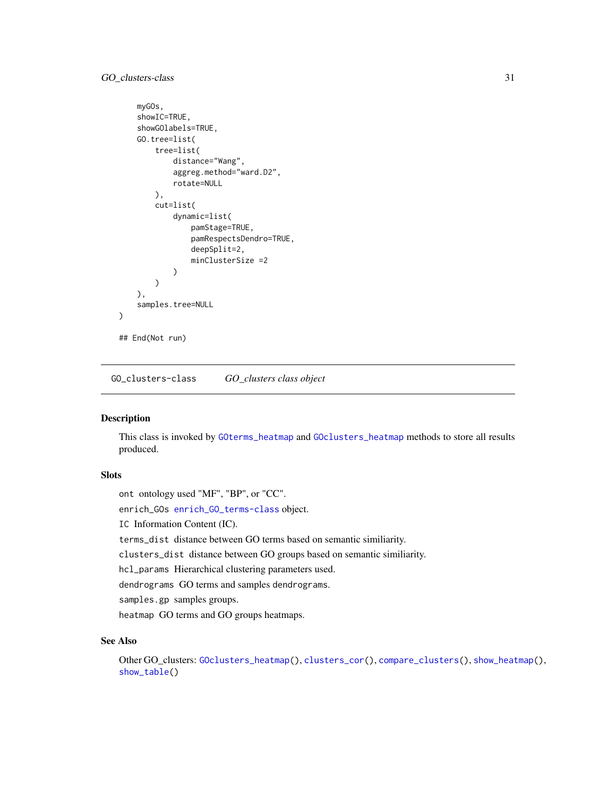# <span id="page-30-0"></span>GO\_clusters-class 31

```
myGOs,
    showIC=TRUE,
    showGOlabels=TRUE,
    GO.tree=list(
        tree=list(
            distance="Wang",
            aggreg.method="ward.D2",
            rotate=NULL
        ),
        cut=list(
            dynamic=list(
                pamStage=TRUE,
                pamRespectsDendro=TRUE,
                deepSplit=2,
                minClusterSize =2
            )
        \lambda),
    samples.tree=NULL
)
## End(Not run)
```
<span id="page-30-1"></span>GO\_clusters-class *GO\_clusters class object*

#### Description

This class is invoked by [GOterms\\_heatmap](#page-27-1) and [GOclusters\\_heatmap](#page-23-2) methods to store all results produced.

# Slots

ont ontology used "MF", "BP", or "CC".

enrich\_GOs [enrich\\_GO\\_terms-class](#page-19-1) object.

IC Information Content (IC).

terms\_dist distance between GO terms based on semantic similiarity.

clusters\_dist distance between GO groups based on semantic similiarity.

hcl\_params Hierarchical clustering parameters used.

dendrograms GO terms and samples dendrograms.

samples.gp samples groups.

heatmap GO terms and GO groups heatmaps.

# See Also

Other GO\_clusters: [GOclusters\\_heatmap\(](#page-23-2)), [clusters\\_cor\(](#page-8-1)), [compare\\_clusters\(](#page-11-1)), [show\\_heatmap\(](#page-40-1)), [show\\_table\(](#page-43-1))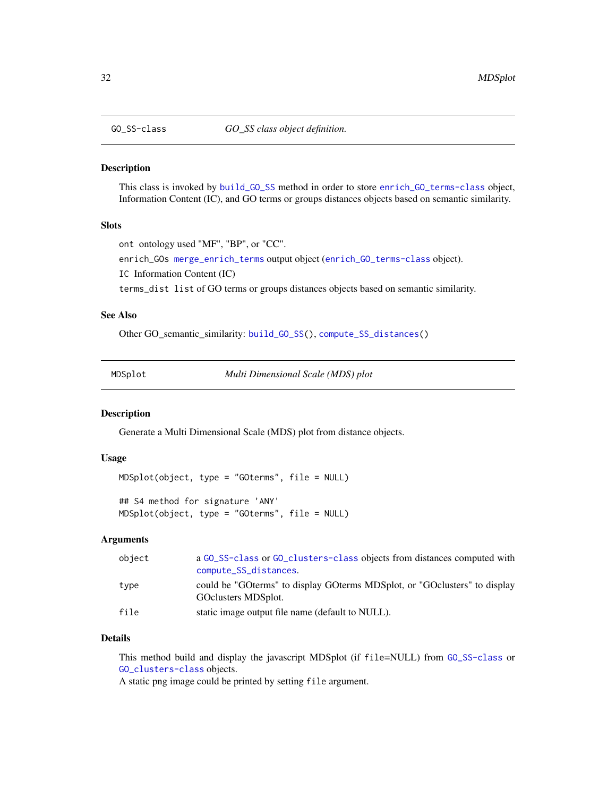<span id="page-31-1"></span><span id="page-31-0"></span>

#### Description

This class is invoked by [build\\_GO\\_SS](#page-7-1) method in order to store [enrich\\_GO\\_terms-class](#page-19-1) object, Information Content (IC), and GO terms or groups distances objects based on semantic similarity.

#### Slots

```
ont ontology used "MF", "BP", or "CC".
```
enrich\_GOs [merge\\_enrich\\_terms](#page-33-1) output object ([enrich\\_GO\\_terms-class](#page-19-1) object).

IC Information Content (IC)

terms\_dist list of GO terms or groups distances objects based on semantic similarity.

#### See Also

Other GO\_semantic\_similarity: [build\\_GO\\_SS\(](#page-7-1)), [compute\\_SS\\_distances\(](#page-14-1))

<span id="page-31-2"></span>MDSplot *Multi Dimensional Scale (MDS) plot*

#### Description

Generate a Multi Dimensional Scale (MDS) plot from distance objects.

#### Usage

```
MDSplot(object, type = "GOterms", file = NULL)
```

```
## S4 method for signature 'ANY'
MDSplot(object, type = "GOterms", file = NULL)
```
#### Arguments

| object | a GO_SS-class or GO_clusters-class objects from distances computed with<br>compute_SS_distances.       |
|--------|--------------------------------------------------------------------------------------------------------|
| type   | could be "GO terms" to display GO terms MDS plot, or "GO clusters" to display<br>GO clusters MDS plot. |
| file   | static image output file name (default to NULL).                                                       |

# Details

This method build and display the javascript MDSplot (if file=NULL) from [GO\\_SS-class](#page-31-1) or [GO\\_clusters-class](#page-30-1) objects.

A static png image could be printed by setting file argument.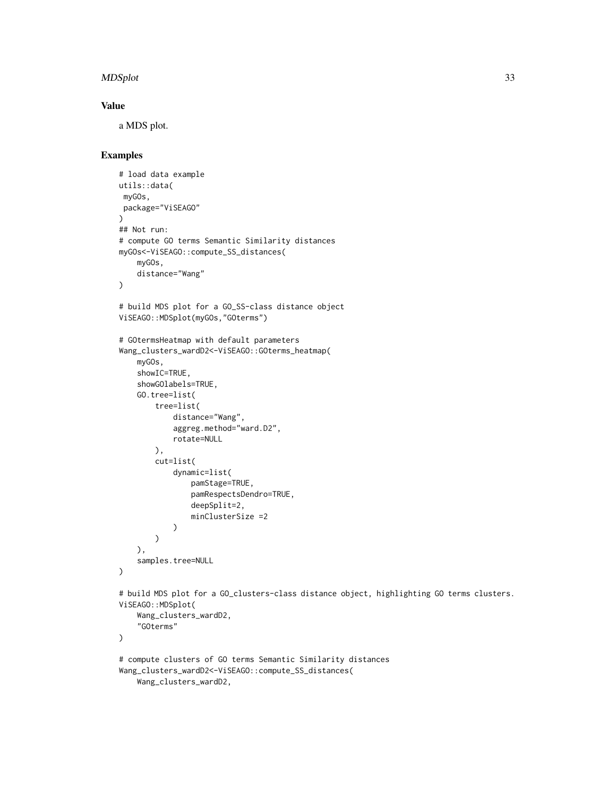#### MDSplot 33

# Value

a MDS plot.

```
# load data example
utils::data(
 myGOs,
 package="ViSEAGO"
\lambda## Not run:
# compute GO terms Semantic Similarity distances
myGOs<-ViSEAGO::compute_SS_distances(
    myGOs,
    distance="Wang"
\mathcal{L}# build MDS plot for a GO_SS-class distance object
ViSEAGO::MDSplot(myGOs,"GOterms")
# GOtermsHeatmap with default parameters
Wang_clusters_wardD2<-ViSEAGO::GOterms_heatmap(
    myGOs,
    showIC=TRUE,
    showGOlabels=TRUE,
    GO.tree=list(
        tree=list(
            distance="Wang",
            aggreg.method="ward.D2",
            rotate=NULL
        ),
        cut=list(
            dynamic=list(
                pamStage=TRUE,
                pamRespectsDendro=TRUE,
                deepSplit=2,
                minClusterSize =2
            )
        )
    ),
    samples.tree=NULL
\mathcal{L}# build MDS plot for a GO_clusters-class distance object, highlighting GO terms clusters.
ViSEAGO::MDSplot(
    Wang_clusters_wardD2,
    "GOterms"
)
# compute clusters of GO terms Semantic Similarity distances
Wang_clusters_wardD2<-ViSEAGO::compute_SS_distances(
    Wang_clusters_wardD2,
```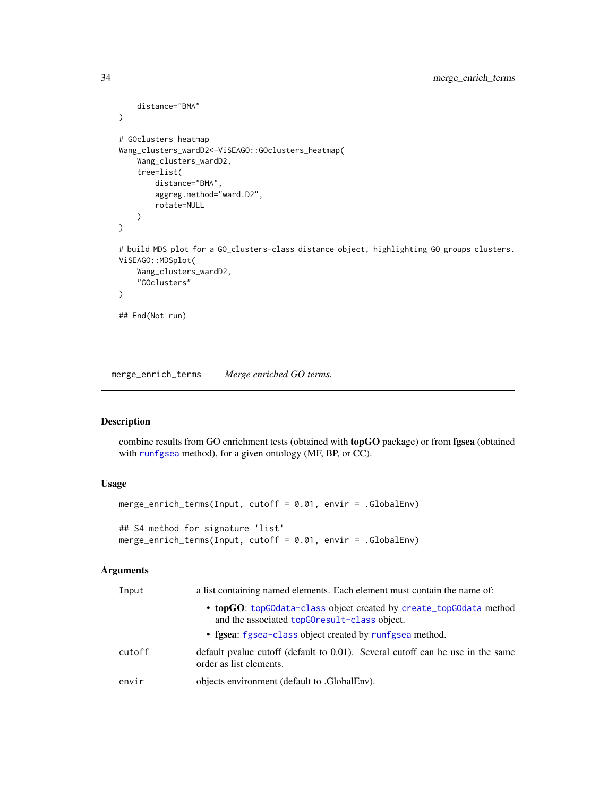```
distance="BMA"
\mathcal{L}# GOclusters heatmap
Wang_clusters_wardD2<-ViSEAGO::GOclusters_heatmap(
    Wang_clusters_wardD2,
    tree=list(
        distance="BMA",
        aggreg.method="ward.D2",
        rotate=NULL
    )
)
# build MDS plot for a GO_clusters-class distance object, highlighting GO groups clusters.
ViSEAGO::MDSplot(
    Wang_clusters_wardD2,
    "GOclusters"
\mathcal{L}## End(Not run)
```
<span id="page-33-1"></span>merge\_enrich\_terms *Merge enriched GO terms.*

# Description

combine results from GO enrichment tests (obtained with topGO package) or from fgsea (obtained with [runfgsea](#page-38-1) method), for a given ontology (MF, BP, or CC).

#### Usage

```
merge_enrich_terms(Input, cutoff = 0.01, envir = .GlobalEnv)
## S4 method for signature 'list'
merge_enrich_terms(Input, cutoff = 0.01, envir = .GlobalEnv)
```
#### Arguments

| Input  | a list containing named elements. Each element must contain the name of:                                           |
|--------|--------------------------------------------------------------------------------------------------------------------|
|        | • topGO: topGOdata-class object created by create_topGOdata method<br>and the associated topGOresult-class object. |
|        | • fgsea: fgsea-class object created by runfgsea method.                                                            |
| cutoff | default pvalue cutoff (default to $0.01$ ). Several cutoff can be use in the same<br>order as list elements.       |
| envir  | objects environment (default to .GlobalEnv).                                                                       |

<span id="page-33-0"></span>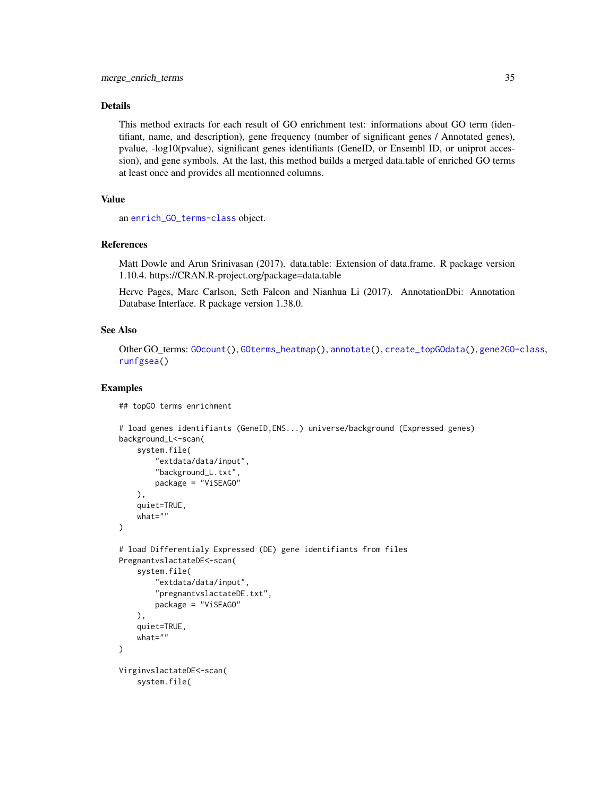# <span id="page-34-0"></span>Details

This method extracts for each result of GO enrichment test: informations about GO term (identifiant, name, and description), gene frequency (number of significant genes / Annotated genes), pvalue, -log10(pvalue), significant genes identifiants (GeneID, or Ensembl ID, or uniprot accession), and gene symbols. At the last, this method builds a merged data.table of enriched GO terms at least once and provides all mentionned columns.

# Value

an [enrich\\_GO\\_terms-class](#page-19-1) object.

# References

Matt Dowle and Arun Srinivasan (2017). data.table: Extension of data.frame. R package version 1.10.4. https://CRAN.R-project.org/package=data.table

Herve Pages, Marc Carlson, Seth Falcon and Nianhua Li (2017). AnnotationDbi: Annotation Database Interface. R package version 1.38.0.

## See Also

Other GO\_terms: [GOcount\(](#page-26-1)), [GOterms\\_heatmap\(](#page-27-1)), [annotate\(](#page-2-1)), [create\\_topGOdata\(](#page-16-1)), [gene2GO-class](#page-22-1), [runfgsea\(](#page-38-1))

```
## topGO terms enrichment
```

```
# load genes identifiants (GeneID,ENS...) universe/background (Expressed genes)
background_L<-scan(
   system.file(
        "extdata/data/input",
        "background_L.txt",
        package = "ViSEAGO"
   ),
    quiet=TRUE,
   what=""
)
# load Differentialy Expressed (DE) gene identifiants from files
PregnantvslactateDE<-scan(
    system.file(
        "extdata/data/input",
        "pregnantvslactateDE.txt",
        package = "ViSEAGO"
    ),
    quiet=TRUE,
    what=""
)
VirginvslactateDE<-scan(
    system.file(
```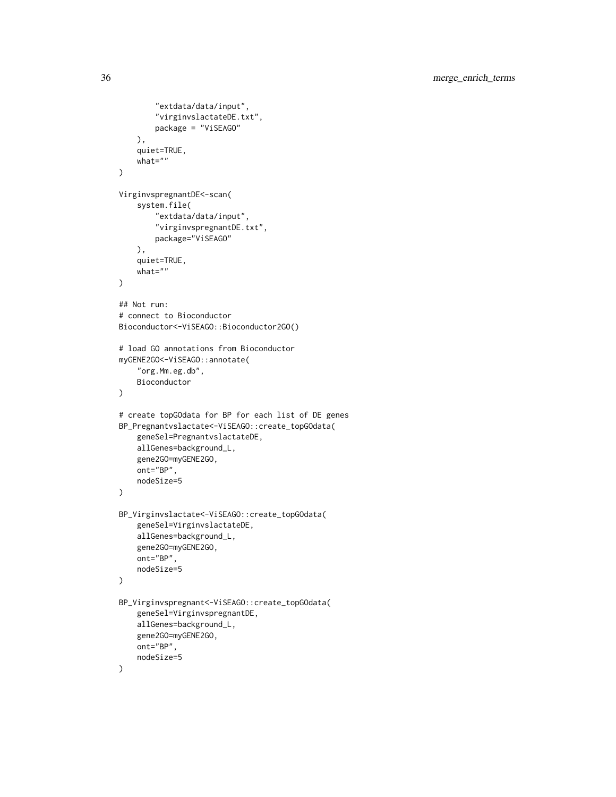```
"extdata/data/input",
        "virginvslactateDE.txt",
       package = "ViSEAGO"
   ),
    quiet=TRUE,
   what=""
)
VirginvspregnantDE<-scan(
    system.file(
        "extdata/data/input",
        "virginvspregnantDE.txt",
       package="ViSEAGO"
   ),
    quiet=TRUE,
   what=""
\mathcal{L}## Not run:
# connect to Bioconductor
Bioconductor<-ViSEAGO::Bioconductor2GO()
# load GO annotations from Bioconductor
myGENE2GO<-ViSEAGO::annotate(
    "org.Mm.eg.db",
   Bioconductor
)
# create topGOdata for BP for each list of DE genes
BP_Pregnantvslactate<-ViSEAGO::create_topGOdata(
   geneSel=PregnantvslactateDE,
   allGenes=background_L,
   gene2GO=myGENE2GO,
   ont="BP",
   nodeSize=5
)
BP_Virginvslactate<-ViSEAGO::create_topGOdata(
    geneSel=VirginvslactateDE,
   allGenes=background_L,
   gene2GO=myGENE2GO,
   ont="BP",
   nodeSize=5
)
BP_Virginvspregnant<-ViSEAGO::create_topGOdata(
    geneSel=VirginvspregnantDE,
   allGenes=background_L,
   gene2GO=myGENE2GO,
   ont="BP",
   nodeSize=5
)
```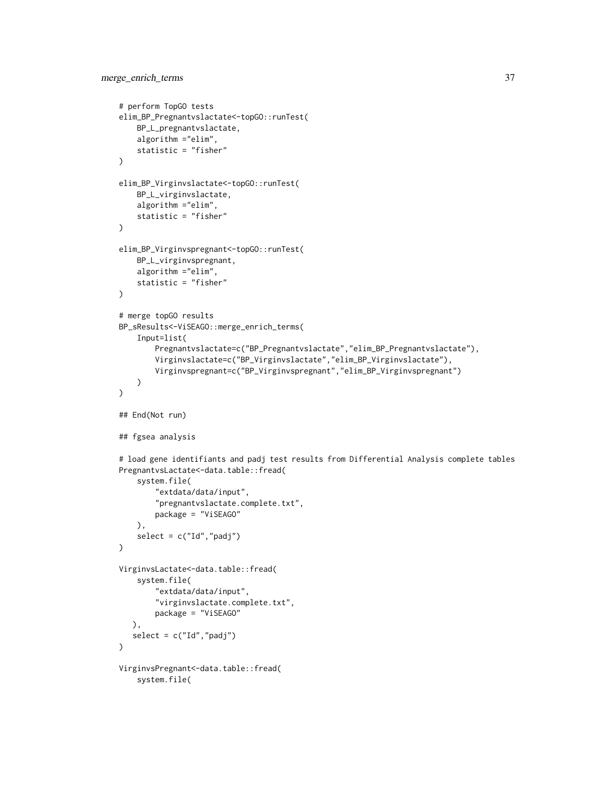```
# perform TopGO tests
elim_BP_Pregnantvslactate<-topGO::runTest(
    BP_L_pregnantvslactate,
    algorithm ="elim",
    statistic = "fisher"
\lambdaelim_BP_Virginvslactate<-topGO::runTest(
    BP_L_virginvslactate,
    algorithm ="elim",
    statistic = "fisher"
\mathcal{L}elim_BP_Virginvspregnant<-topGO::runTest(
    BP_L_virginvspregnant,
    algorithm ="elim",
    statistic = "fisher"
\mathcal{L}# merge topGO results
BP_sResults<-ViSEAGO::merge_enrich_terms(
    Input=list(
        Pregnantvslactate=c("BP_Pregnantvslactate","elim_BP_Pregnantvslactate"),
        Virginvslactate=c("BP_Virginvslactate","elim_BP_Virginvslactate"),
        Virginvspregnant=c("BP_Virginvspregnant","elim_BP_Virginvspregnant")
    )
)
## End(Not run)
## fgsea analysis
# load gene identifiants and padj test results from Differential Analysis complete tables
PregnantvsLactate<-data.table::fread(
    system.file(
        "extdata/data/input",
        "pregnantvslactate.complete.txt",
        package = "ViSEAGO"
    ),
    select = c("Id", "padj")\mathcal{L}VirginvsLactate<-data.table::fread(
    system.file(
        "extdata/data/input",
        "virginvslactate.complete.txt",
        package = "ViSEAGO"
  ),
   select = c("Id","padj")
\lambdaVirginvsPregnant<-data.table::fread(
    system.file(
```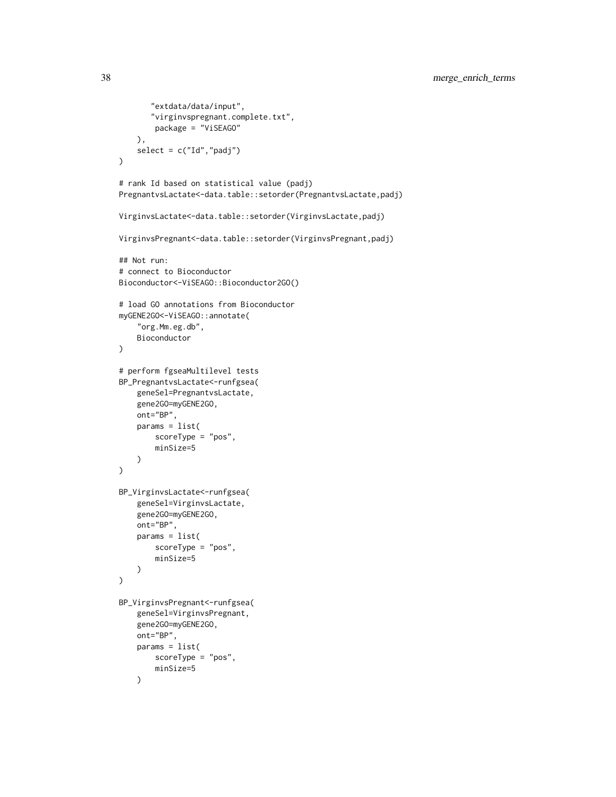```
"extdata/data/input",
       "virginvspregnant.complete.txt",
        package = "ViSEAGO"
    ),
    select = c("Id", "padj"))
# rank Id based on statistical value (padj)
PregnantvsLactate<-data.table::setorder(PregnantvsLactate,padj)
VirginvsLactate<-data.table::setorder(VirginvsLactate,padj)
VirginvsPregnant<-data.table::setorder(VirginvsPregnant,padj)
## Not run:
# connect to Bioconductor
Bioconductor<-ViSEAGO::Bioconductor2GO()
# load GO annotations from Bioconductor
myGENE2GO<-ViSEAGO::annotate(
    "org.Mm.eg.db",
    Bioconductor
\mathcal{L}# perform fgseaMultilevel tests
BP_PregnantvsLactate<-runfgsea(
    geneSel=PregnantvsLactate,
    gene2GO=myGENE2GO,
    ont="BP",
    params = list(
        scoreType = "pos",
        minSize=5
    \lambda\mathcal{L}BP_VirginvsLactate<-runfgsea(
    geneSel=VirginvsLactate,
    gene2GO=myGENE2GO,
    ont="BP",
    params = list(
        scoreType = "pos",
        minSize=5
    )
\mathcal{L}BP_VirginvsPregnant<-runfgsea(
    geneSel=VirginvsPregnant,
    gene2GO=myGENE2GO,
    ont="BP",
    params = list(
        scoreType = "pos",
        minSize=5
    \lambda
```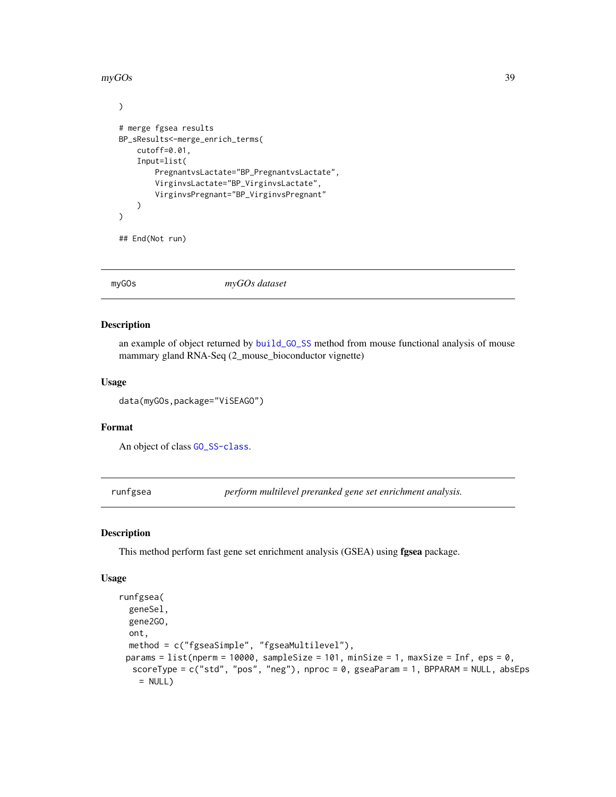<span id="page-38-0"></span> $\mu$ myGOs 39

```
)
# merge fgsea results
BP_sResults<-merge_enrich_terms(
   cutoff=0.01,
   Input=list(
        PregnantvsLactate="BP_PregnantvsLactate",
        VirginvsLactate="BP_VirginvsLactate",
        VirginvsPregnant="BP_VirginvsPregnant"
   )
)
```

```
## End(Not run)
```
myGOs *myGOs dataset*

# Description

an example of object returned by [build\\_GO\\_SS](#page-7-1) method from mouse functional analysis of mouse mammary gland RNA-Seq (2\_mouse\_bioconductor vignette)

# Usage

data(myGOs,package="ViSEAGO")

#### Format

An object of class [GO\\_SS-class](#page-31-1).

<span id="page-38-1"></span>runfgsea *perform multilevel preranked gene set enrichment analysis.*

#### Description

This method perform fast gene set enrichment analysis (GSEA) using fgsea package.

#### Usage

```
runfgsea(
  geneSel,
  gene2GO,
 ont,
 method = c("fgseaSimple", "fgseaMultilevel"),
 params = list(nperm = 10000, sampleSize = 101, minSize = 1, maxSize = Inf, eps = 0,
  scoreType = c("std", "pos", "neg"), nproc = 0, gseaParam = 1, BPPARAM = NULL, absEps
    = NULL)
```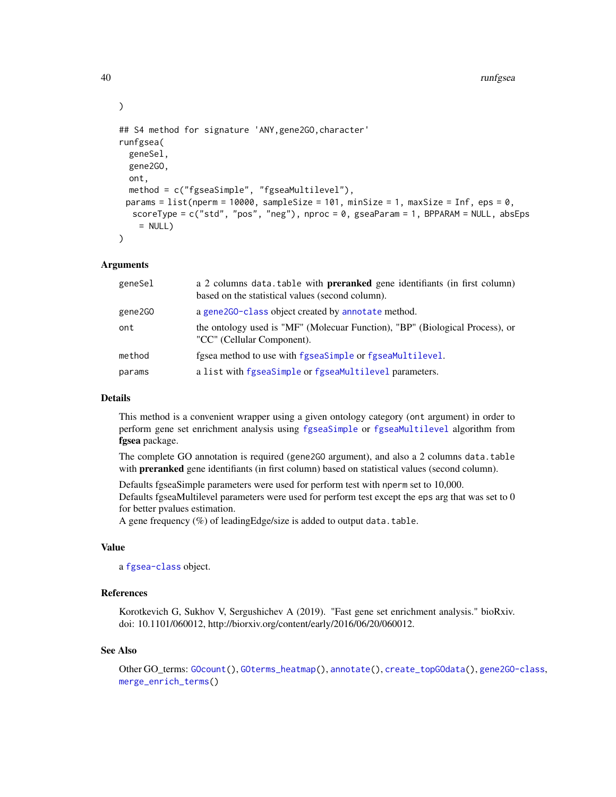```
## S4 method for signature 'ANY, gene2GO, character'
runfgsea(
  geneSel,
  gene2GO,
 ont,
 method = c("fgseaSimple", "fgseaMultilevel"),
 params = list(nperm = 10000, sampleSize = 101, minSize = 1, maxSize = Inf, eps = 0,
  scoreType = c("std", "pos", "neg"), nproc = 0, gseaParam = 1, BPPARAM = NULL, absEps= NULL))
```
#### Arguments

| geneSel | a 2 columns data.table with <b>preranked</b> gene identifiants (in first column)<br>based on the statistical values (second column). |
|---------|--------------------------------------------------------------------------------------------------------------------------------------|
| gene2GO | a gene2G0-class object created by annotate method.                                                                                   |
| ont     | the ontology used is "MF" (Molecuar Function), "BP" (Biological Process), or<br>"CC" (Cellular Component).                           |
| method  | fgsea method to use with fgseaSimple or fgseaMultilevel.                                                                             |
| params  | a list with fgseaSimple or fgseaMultilevel parameters.                                                                               |

#### Details

This method is a convenient wrapper using a given ontology category (ont argument) in order to perform gene set enrichment analysis using [fgseaSimple](#page-0-0) or [fgseaMultilevel](#page-0-0) algorithm from fgsea package.

The complete GO annotation is required (gene2GO argument), and also a 2 columns data.table with **preranked** gene identifiants (in first column) based on statistical values (second column).

Defaults fgseaSimple parameters were used for perform test with nperm set to 10,000. Defaults fgseaMultilevel parameters were used for perform test except the eps arg that was set to 0 for better pvalues estimation.

A gene frequency (%) of leadingEdge/size is added to output data.table.

# Value

a [fgsea-class](#page-22-2) object.

# References

Korotkevich G, Sukhov V, Sergushichev A (2019). "Fast gene set enrichment analysis." bioRxiv. doi: 10.1101/060012, http://biorxiv.org/content/early/2016/06/20/060012.

#### See Also

Other GO\_terms: [GOcount\(](#page-26-1)), [GOterms\\_heatmap\(](#page-27-1)), [annotate\(](#page-2-1)), [create\\_topGOdata\(](#page-16-1)), [gene2GO-class](#page-22-1), [merge\\_enrich\\_terms\(](#page-33-1))

<span id="page-39-0"></span>

)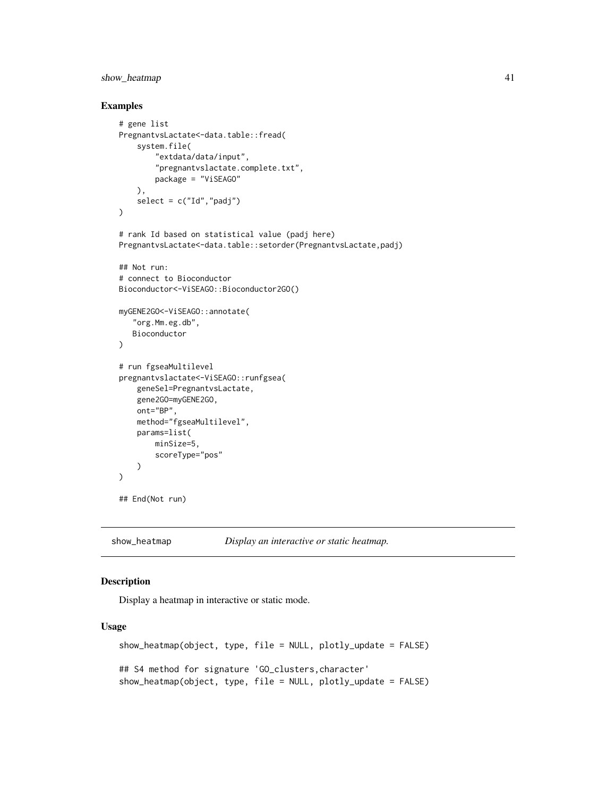# <span id="page-40-0"></span>show\_heatmap 41

#### Examples

```
# gene list
PregnantvsLactate<-data.table::fread(
    system.file(
        "extdata/data/input",
        "pregnantvslactate.complete.txt",
        package = "ViSEAGO"
    ),
    select = c("Id", "padj"))
# rank Id based on statistical value (padj here)
PregnantvsLactate<-data.table::setorder(PregnantvsLactate,padj)
## Not run:
# connect to Bioconductor
Bioconductor<-ViSEAGO::Bioconductor2GO()
myGENE2GO<-ViSEAGO::annotate(
   "org.Mm.eg.db",
   Bioconductor
)
# run fgseaMultilevel
pregnantvslactate<-ViSEAGO::runfgsea(
    geneSel=PregnantvsLactate,
    gene2GO=myGENE2GO,
    ont="BP",
   method="fgseaMultilevel",
    params=list(
        minSize=5,
        scoreType="pos"
   )
)
## End(Not run)
```
<span id="page-40-1"></span>show\_heatmap *Display an interactive or static heatmap.*

# Description

Display a heatmap in interactive or static mode.

#### Usage

```
show_heatmap(object, type, file = NULL, plotly_update = FALSE)
## S4 method for signature 'GO_clusters,character'
show_heatmap(object, type, file = NULL, plotly_update = FALSE)
```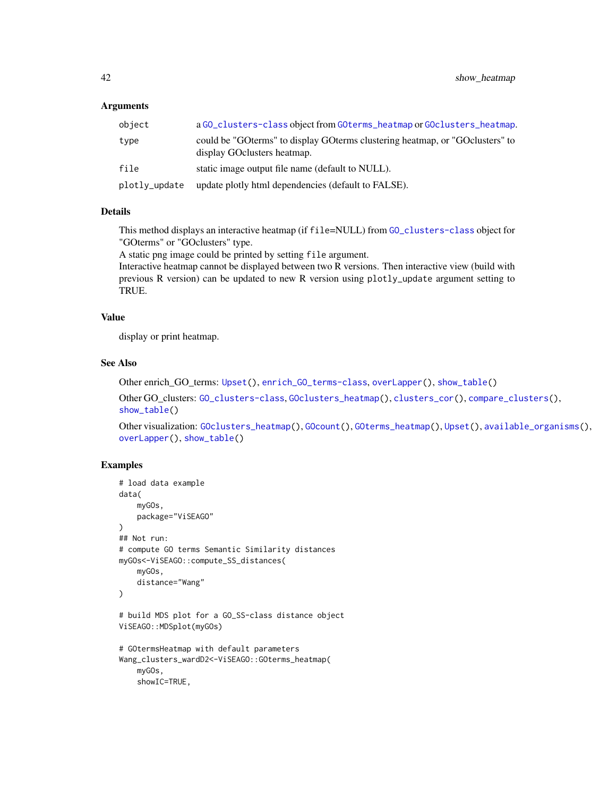#### <span id="page-41-0"></span>**Arguments**

| object        | a GO_clusters-class object from GOterms_heatmap or GOclusters_heatmap.                                          |
|---------------|-----------------------------------------------------------------------------------------------------------------|
| type          | could be "GO terms" to display GO terms clustering heatmap, or "GO clusters" to<br>display GO clusters heatmap. |
| file          | static image output file name (default to NULL).                                                                |
| plotly_update | update plotly html dependencies (default to FALSE).                                                             |

# Details

This method displays an interactive heatmap (if file=NULL) from [GO\\_clusters-class](#page-30-1) object for "GOterms" or "GOclusters" type.

A static png image could be printed by setting file argument.

Interactive heatmap cannot be displayed between two R versions. Then interactive view (build with previous R version) can be updated to new R version using plotly\_update argument setting to TRUE.

# Value

display or print heatmap.

# See Also

Other enrich\_GO\_terms: [Upset\(](#page-46-1)), [enrich\\_GO\\_terms-class](#page-19-1), [overLapper\(](#page-0-0)), [show\\_table\(](#page-43-1))

Other GO\_clusters: [GO\\_clusters-class](#page-30-1), [GOclusters\\_heatmap\(](#page-23-2)), [clusters\\_cor\(](#page-8-1)), [compare\\_clusters\(](#page-11-1)), [show\\_table\(](#page-43-1))

```
Other visualization: GOclusters_heatmap(), GOcount(), GOterms_heatmap(), Upset(), available_organisms(),
overLapper(), show_table()
```

```
# load data example
data(
    myGOs,
   package="ViSEAGO"
)
## Not run:
# compute GO terms Semantic Similarity distances
myGOs<-ViSEAGO::compute_SS_distances(
    myGOs,
    distance="Wang"
\mathcal{L}# build MDS plot for a GO_SS-class distance object
ViSEAGO::MDSplot(myGOs)
# GOtermsHeatmap with default parameters
Wang_clusters_wardD2<-ViSEAGO::GOterms_heatmap(
    myGOs,
    showIC=TRUE,
```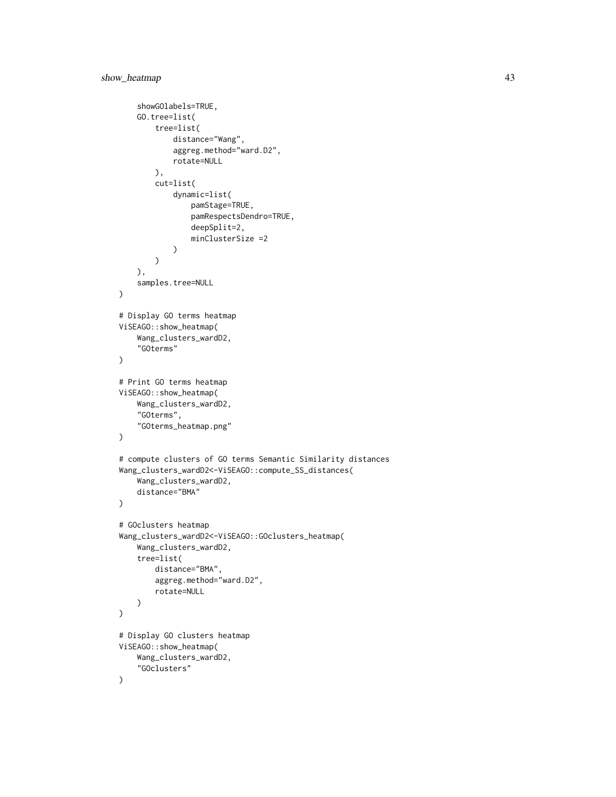```
showGOlabels=TRUE,
    GO.tree=list(
        tree=list(
            distance="Wang",
            aggreg.method="ward.D2",
            rotate=NULL
        ),
        cut=list(
            dynamic=list(
                 pamStage=TRUE,
                 pamRespectsDendro=TRUE,
                 deepSplit=2,
                 minClusterSize =2
            )
        )
    ),
    samples.tree=NULL
\mathcal{L}# Display GO terms heatmap
ViSEAGO::show_heatmap(
    Wang_clusters_wardD2,
    "GOterms"
)
# Print GO terms heatmap
ViSEAGO::show_heatmap(
    Wang_clusters_wardD2,
    "GOterms",
    "GOterms_heatmap.png"
\mathcal{L}# compute clusters of GO terms Semantic Similarity distances
Wang_clusters_wardD2<-ViSEAGO::compute_SS_distances(
    Wang_clusters_wardD2,
    distance="BMA"
\lambda# GOclusters heatmap
Wang_clusters_wardD2<-ViSEAGO::GOclusters_heatmap(
    Wang_clusters_wardD2,
    tree=list(
        distance="BMA",
        aggreg.method="ward.D2",
        rotate=NULL
    )
\mathcal{L}# Display GO clusters heatmap
ViSEAGO::show_heatmap(
    Wang_clusters_wardD2,
    "GOclusters"
\mathcal{L}
```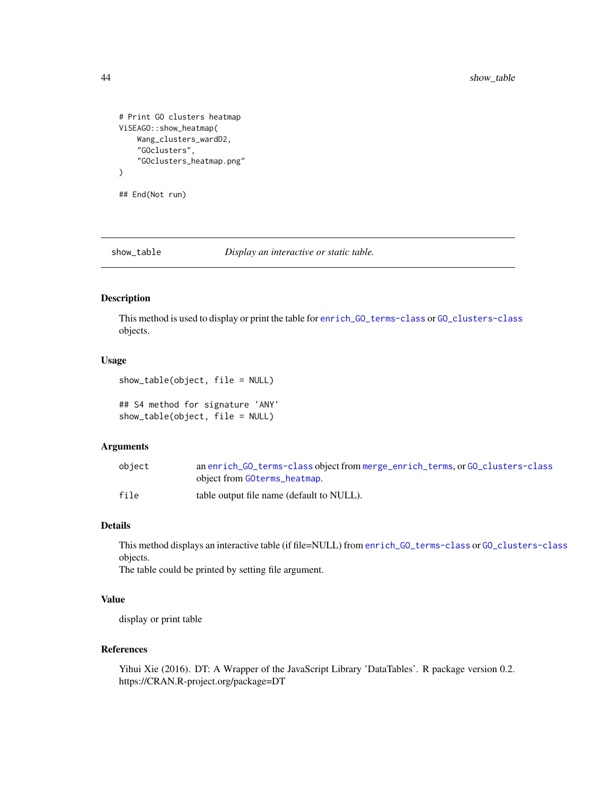```
# Print GO clusters heatmap
ViSEAGO::show_heatmap(
   Wang_clusters_wardD2,
    "GOclusters",
    "GOclusters_heatmap.png"
)
```
## End(Not run)

<span id="page-43-1"></span>

show\_table *Display an interactive or static table.*

# Description

This method is used to display or print the table for [enrich\\_GO\\_terms-class](#page-19-1) or [GO\\_clusters-class](#page-30-1) objects.

### Usage

show\_table(object, file = NULL)

## S4 method for signature 'ANY' show\_table(object, file = NULL)

#### Arguments

| object | an enrich_GO_terms-class object from merge_enrich_terms, or GO_clusters-class |
|--------|-------------------------------------------------------------------------------|
|        | object from GOterms_heatmap.                                                  |
| file   | table output file name (default to NULL).                                     |

# Details

This method displays an interactive table (if file=NULL) from [enrich\\_GO\\_terms-class](#page-19-1) or [GO\\_clusters-class](#page-30-1) objects.

The table could be printed by setting file argument.

# Value

display or print table

# References

Yihui Xie (2016). DT: A Wrapper of the JavaScript Library 'DataTables'. R package version 0.2. https://CRAN.R-project.org/package=DT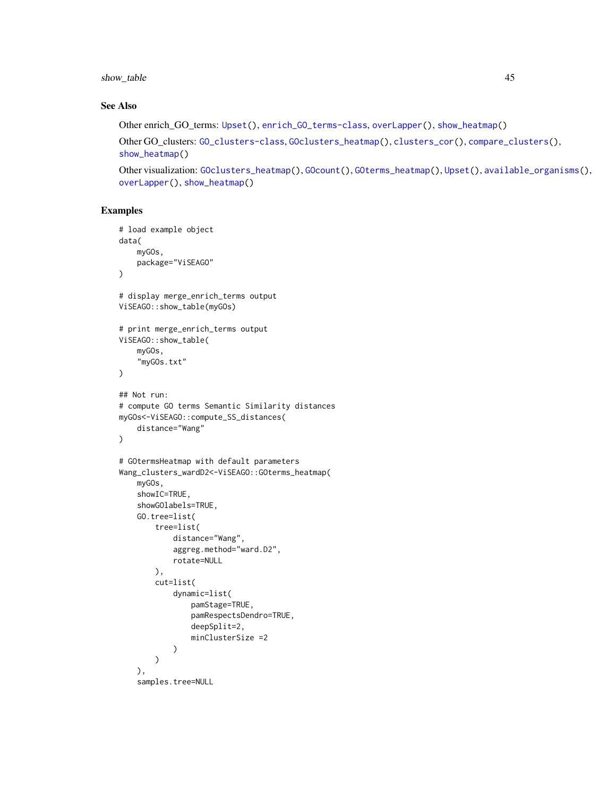# <span id="page-44-0"></span>show\_table 45

# See Also

Other enrich\_GO\_terms: [Upset\(](#page-46-1)), [enrich\\_GO\\_terms-class](#page-19-1), [overLapper\(](#page-0-0)), [show\\_heatmap\(](#page-40-1))

```
Other GO_clusters: GO_clusters-class, GOclusters_heatmap(), clusters_cor(), compare_clusters(),
show_heatmap()
```

```
Other visualization: GOclusters_heatmap(), GOcount(), GOterms_heatmap(), Upset(), available_organisms(),
overLapper(), show_heatmap()
```

```
# load example object
data(
    myGOs,
    package="ViSEAGO"
\lambda# display merge_enrich_terms output
ViSEAGO::show_table(myGOs)
# print merge_enrich_terms output
ViSEAGO::show_table(
    myGOs,
    "myGOs.txt"
)
## Not run:
# compute GO terms Semantic Similarity distances
myGOs<-ViSEAGO::compute_SS_distances(
    distance="Wang"
\mathcal{L}# GOtermsHeatmap with default parameters
Wang_clusters_wardD2<-ViSEAGO::GOterms_heatmap(
    myGOs,
    showIC=TRUE,
    showGOlabels=TRUE,
    GO.tree=list(
        tree=list(
            distance="Wang",
            aggreg.method="ward.D2",
            rotate=NULL
        ),
        cut=list(
            dynamic=list(
                pamStage=TRUE,
                pamRespectsDendro=TRUE,
                deepSplit=2,
                minClusterSize =2
            )
        )
    ),
    samples.tree=NULL
```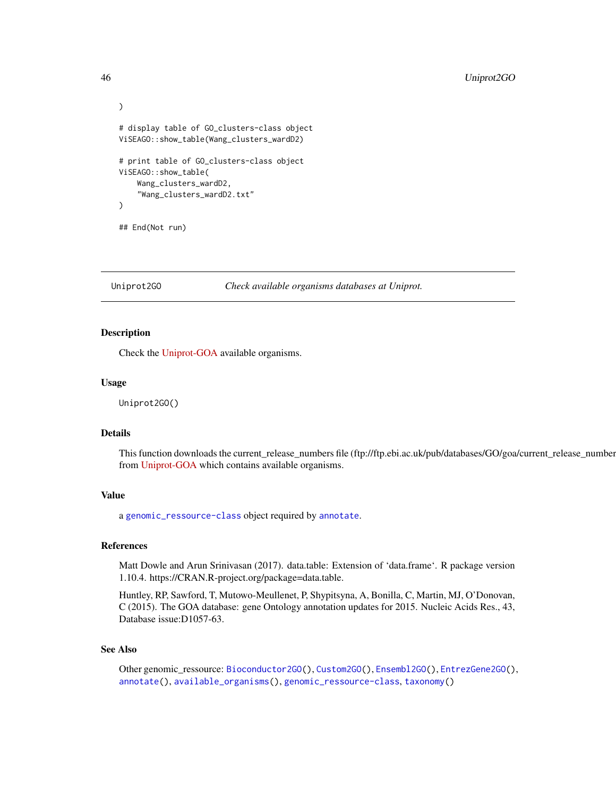```
)
# display table of GO_clusters-class object
ViSEAGO::show_table(Wang_clusters_wardD2)
# print table of GO_clusters-class object
ViSEAGO::show_table(
   Wang_clusters_wardD2,
    "Wang_clusters_wardD2.txt"
)
## End(Not run)
```
<span id="page-45-1"></span>Uniprot2GO *Check available organisms databases at Uniprot.*

# Description

Check the [Uniprot-GOA](http://www.ebi.ac.uk/GOA) available organisms.

#### Usage

Uniprot2GO()

#### Details

This function downloads the current\_release\_numbers file (ftp://ftp.ebi.ac.uk/pub/databases/GO/goa/current\_release\_number from [Uniprot-GOA](http://www.ebi.ac.uk/GOA) which contains available organisms.

# Value

a [genomic\\_ressource-class](#page-23-1) object required by [annotate](#page-2-1).

# **References**

Matt Dowle and Arun Srinivasan (2017). data.table: Extension of 'data.frame'. R package version 1.10.4. https://CRAN.R-project.org/package=data.table.

Huntley, RP, Sawford, T, Mutowo-Meullenet, P, Shypitsyna, A, Bonilla, C, Martin, MJ, O'Donovan, C (2015). The GOA database: gene Ontology annotation updates for 2015. Nucleic Acids Res., 43, Database issue:D1057-63.

#### See Also

Other genomic\_ressource: [Bioconductor2GO\(](#page-6-1)), [Custom2GO\(](#page-18-1)), [Ensembl2GO\(](#page-20-1)), [EntrezGene2GO\(](#page-21-1)), [annotate\(](#page-2-1)), [available\\_organisms\(](#page-4-1)), [genomic\\_ressource-class](#page-23-1), [taxonomy\(](#page-0-0))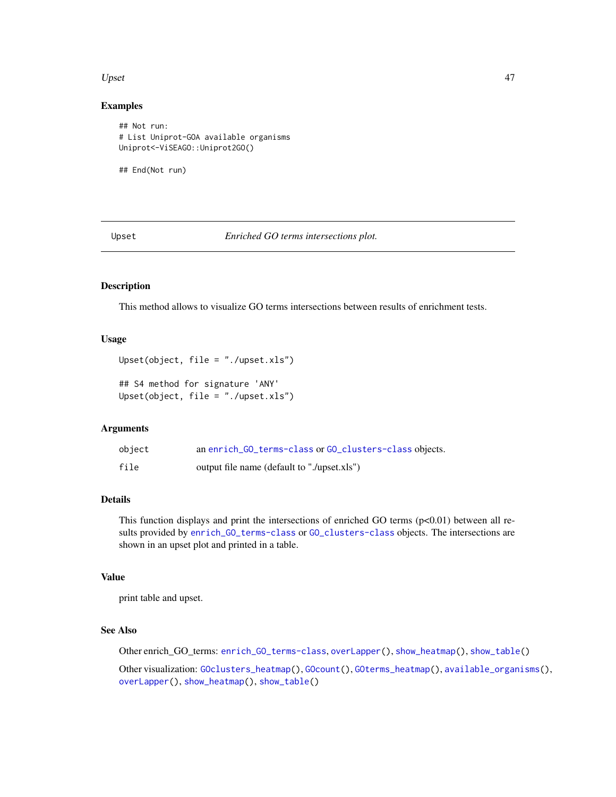#### <span id="page-46-0"></span>Upset 47

#### Examples

```
## Not run:
# List Uniprot-GOA available organisms
Uniprot<-ViSEAGO::Uniprot2GO()
```
## End(Not run)

<span id="page-46-1"></span>Upset *Enriched GO terms intersections plot.*

# Description

This method allows to visualize GO terms intersections between results of enrichment tests.

#### Usage

```
Upset(object, file = "./upset.xls")
```

```
## S4 method for signature 'ANY'
Upset(object, file = "./upset.xls")
```
#### Arguments

| object | an enrich_GO_terms-class or GO_clusters-class objects. |
|--------|--------------------------------------------------------|
| file   | output file name (default to "./upset.xls")            |

# Details

This function displays and print the intersections of enriched GO terms (p<0.01) between all results provided by [enrich\\_GO\\_terms-class](#page-19-1) or [GO\\_clusters-class](#page-30-1) objects. The intersections are shown in an upset plot and printed in a table.

# Value

print table and upset.

# See Also

Other enrich\_GO\_terms: [enrich\\_GO\\_terms-class](#page-19-1), [overLapper\(](#page-0-0)), [show\\_heatmap\(](#page-40-1)), [show\\_table\(](#page-43-1))

Other visualization: [GOclusters\\_heatmap\(](#page-23-2)), [GOcount\(](#page-26-1)), [GOterms\\_heatmap\(](#page-27-1)), [available\\_organisms\(](#page-4-1)), [overLapper\(](#page-0-0)), [show\\_heatmap\(](#page-40-1)), [show\\_table\(](#page-43-1))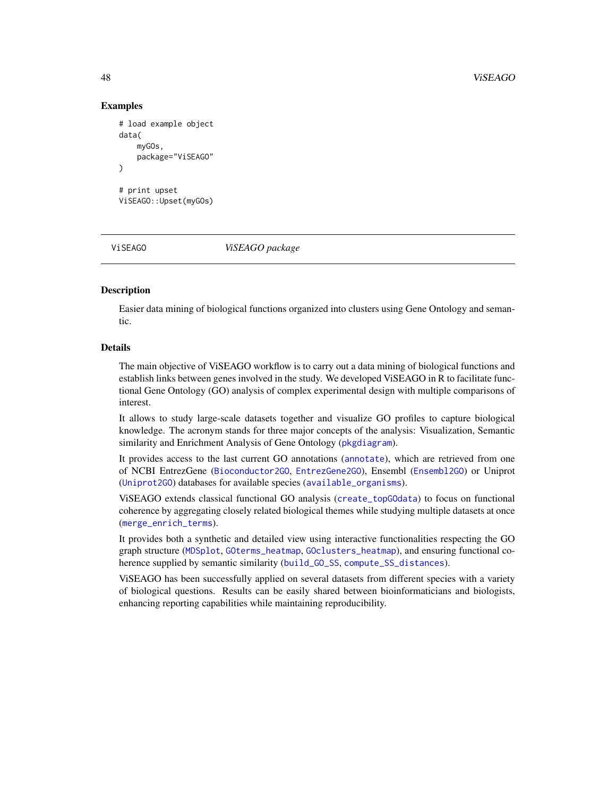### Examples

```
# load example object
data(
    myGOs,
    package="ViSEAGO"
)
# print upset
ViSEAGO::Upset(myGOs)
```
ViSEAGO *ViSEAGO package*

# Description

Easier data mining of biological functions organized into clusters using Gene Ontology and semantic.

#### Details

The main objective of ViSEAGO workflow is to carry out a data mining of biological functions and establish links between genes involved in the study. We developed ViSEAGO in R to facilitate functional Gene Ontology (GO) analysis of complex experimental design with multiple comparisons of interest.

It allows to study large-scale datasets together and visualize GO profiles to capture biological knowledge. The acronym stands for three major concepts of the analysis: Visualization, Semantic similarity and Enrichment Analysis of Gene Ontology ([pkgdiagram](#page-0-0)).

It provides access to the last current GO annotations ([annotate](#page-2-1)), which are retrieved from one of NCBI EntrezGene ([Bioconductor2GO](#page-6-1), [EntrezGene2GO](#page-21-1)), Ensembl ([Ensembl2GO](#page-20-1)) or Uniprot ([Uniprot2GO](#page-45-1)) databases for available species ([available\\_organisms](#page-4-1)).

ViSEAGO extends classical functional GO analysis ([create\\_topGOdata](#page-16-1)) to focus on functional coherence by aggregating closely related biological themes while studying multiple datasets at once ([merge\\_enrich\\_terms](#page-33-1)).

It provides both a synthetic and detailed view using interactive functionalities respecting the GO graph structure ([MDSplot](#page-31-2), [GOterms\\_heatmap](#page-27-1), [GOclusters\\_heatmap](#page-23-2)), and ensuring functional coherence supplied by semantic similarity ([build\\_GO\\_SS](#page-7-1), [compute\\_SS\\_distances](#page-14-1)).

ViSEAGO has been successfully applied on several datasets from different species with a variety of biological questions. Results can be easily shared between bioinformaticians and biologists, enhancing reporting capabilities while maintaining reproducibility.

<span id="page-47-0"></span>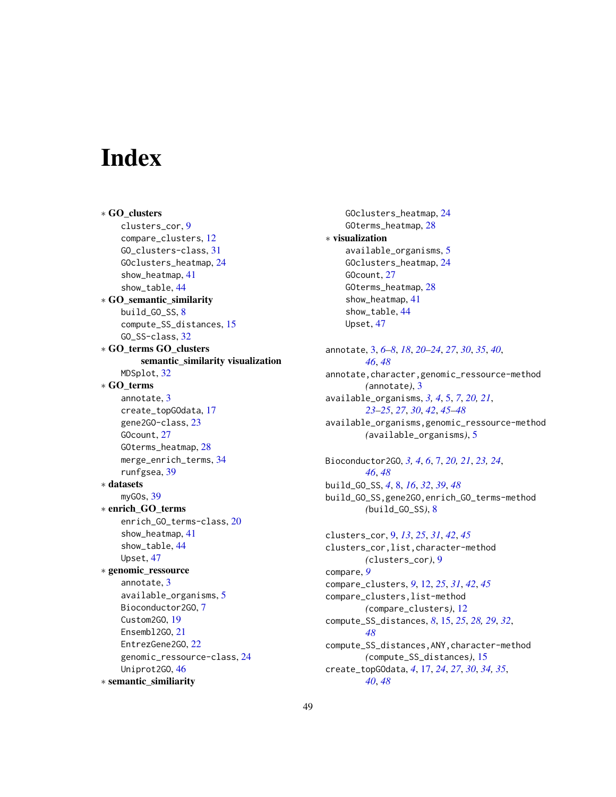# <span id="page-48-0"></span>**Index**

∗ GO\_clusters clusters\_cor, [9](#page-8-0) compare\_clusters, [12](#page-11-0) GO\_clusters-class, [31](#page-30-0) GOclusters\_heatmap, [24](#page-23-0) show\_heatmap, [41](#page-40-0) show\_table, [44](#page-43-0) ∗ GO\_semantic\_similarity build\_GO\_SS, [8](#page-7-0) compute\_SS\_distances, [15](#page-14-0) GO\_SS-class, [32](#page-31-0) ∗ GO\_terms GO\_clusters semantic\_similarity visualization MDSplot, [32](#page-31-0) ∗ GO\_terms annotate, [3](#page-2-0) create\_topGOdata, [17](#page-16-0) gene2GO-class, [23](#page-22-0) GOcount, [27](#page-26-0) GOterms\_heatmap, [28](#page-27-0) merge\_enrich\_terms, [34](#page-33-0) runfgsea, [39](#page-38-0) ∗ datasets myGOs, [39](#page-38-0) ∗ enrich\_GO\_terms enrich\_GO\_terms-class, [20](#page-19-0) show\_heatmap, [41](#page-40-0) show\_table, [44](#page-43-0) Upset, [47](#page-46-0) ∗ genomic\_ressource annotate, [3](#page-2-0) available\_organisms, [5](#page-4-0) Bioconductor2GO, [7](#page-6-0) Custom2GO, [19](#page-18-0) Ensembl2GO, [21](#page-20-0) EntrezGene2GO, [22](#page-21-0) genomic\_ressource-class, [24](#page-23-0) Uniprot2GO, [46](#page-45-0) ∗ semantic\_similiarity

GOclusters\_heatmap, [24](#page-23-0) GOterms\_heatmap, [28](#page-27-0) ∗ visualization available\_organisms, [5](#page-4-0) GOclusters\_heatmap, [24](#page-23-0) GOcount, [27](#page-26-0) GOterms\_heatmap, [28](#page-27-0) show\_heatmap, [41](#page-40-0) show\_table, [44](#page-43-0) Upset, [47](#page-46-0) annotate, [3,](#page-2-0) *[6](#page-5-0)[–8](#page-7-0)*, *[18](#page-17-0)*, *[20](#page-19-0)[–24](#page-23-0)*, *[27](#page-26-0)*, *[30](#page-29-0)*, *[35](#page-34-0)*, *[40](#page-39-0)*, *[46](#page-45-0)*, *[48](#page-47-0)* annotate,character,genomic\_ressource-method *(*annotate*)*, [3](#page-2-0) available\_organisms, *[3,](#page-2-0) [4](#page-3-0)*, [5,](#page-4-0) *[7](#page-6-0)*, *[20,](#page-19-0) [21](#page-20-0)*, *[23](#page-22-0)[–25](#page-24-0)*, *[27](#page-26-0)*, *[30](#page-29-0)*, *[42](#page-41-0)*, *[45](#page-44-0)[–48](#page-47-0)* available\_organisms,genomic\_ressource-method *(*available\_organisms*)*, [5](#page-4-0) Bioconductor2GO, *[3,](#page-2-0) [4](#page-3-0)*, *[6](#page-5-0)*, [7,](#page-6-0) *[20,](#page-19-0) [21](#page-20-0)*, *[23,](#page-22-0) [24](#page-23-0)*, *[46](#page-45-0)*, *[48](#page-47-0)* build\_GO\_SS, *[4](#page-3-0)*, [8,](#page-7-0) *[16](#page-15-0)*, *[32](#page-31-0)*, *[39](#page-38-0)*, *[48](#page-47-0)* build\_GO\_SS,gene2GO,enrich\_GO\_terms-method *(*build\_GO\_SS*)*, [8](#page-7-0) clusters\_cor, [9,](#page-8-0) *[13](#page-12-0)*, *[25](#page-24-0)*, *[31](#page-30-0)*, *[42](#page-41-0)*, *[45](#page-44-0)* clusters\_cor,list,character-method *(*clusters\_cor*)*, [9](#page-8-0) compare, *[9](#page-8-0)* compare\_clusters, *[9](#page-8-0)*, [12,](#page-11-0) *[25](#page-24-0)*, *[31](#page-30-0)*, *[42](#page-41-0)*, *[45](#page-44-0)* compare\_clusters,list-method *(*compare\_clusters*)*, [12](#page-11-0) compute\_SS\_distances, *[8](#page-7-0)*, [15,](#page-14-0) *[25](#page-24-0)*, *[28,](#page-27-0) [29](#page-28-0)*, *[32](#page-31-0)*, *[48](#page-47-0)* compute\_SS\_distances,ANY,character-method *(*compute\_SS\_distances*)*, [15](#page-14-0) create\_topGOdata, *[4](#page-3-0)*, [17,](#page-16-0) *[24](#page-23-0)*, *[27](#page-26-0)*, *[30](#page-29-0)*, *[34,](#page-33-0) [35](#page-34-0)*, *[40](#page-39-0)*, *[48](#page-47-0)*